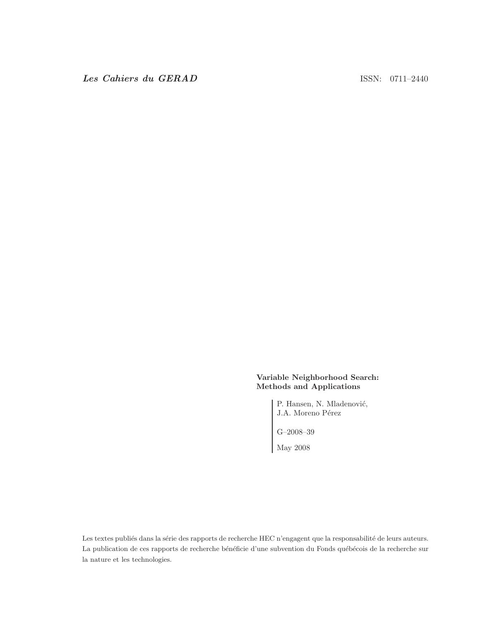### Variable Neighborhood Search: Methods and Applications

P. Hansen, N. Mladenović, J.A. Moreno Pérez

G–2008–39

May 2008

Les textes publiés dans la série des rapports de recherche HEC n'engagent que la responsabilité de leurs auteurs. La publication de ces rapports de recherche bénéficie d'une subvention du Fonds québécois de la recherche sur la nature et les technologies.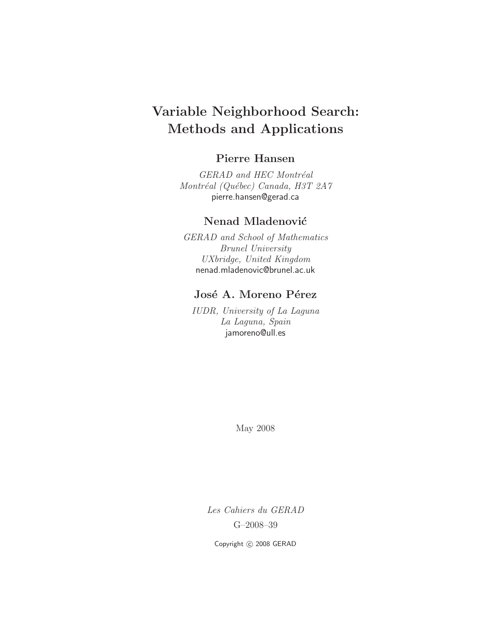# Variable Neighborhood Search: Methods and Applications

## Pierre Hansen

GERAD and HEC Montréal Montréal (Québec) Canada, H3T 2A7 pierre.hansen@gerad.ca

## Nenad Mladenović

GERAD and School of Mathematics Brunel University UXbridge, United Kingdom nenad.mladenovic@brunel.ac.uk

## José A. Moreno Pérez

IUDR, University of La Laguna La Laguna, Spain jamoreno@ull.es

May 2008

Les Cahiers du GERAD G–2008–39

Copyright  $\odot$  2008 GERAD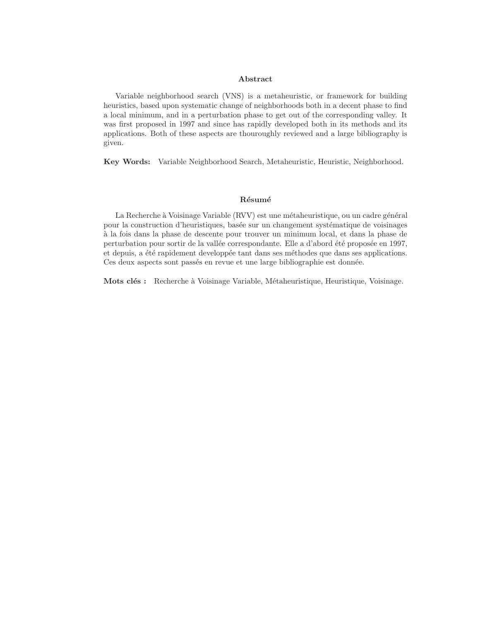#### Abstract

Variable neighborhood search (VNS) is a metaheuristic, or framework for building heuristics, based upon systematic change of neighborhoods both in a decent phase to find a local minimum, and in a perturbation phase to get out of the corresponding valley. It was first proposed in 1997 and since has rapidly developed both in its methods and its applications. Both of these aspects are thouroughly reviewed and a large bibliography is given.

Key Words: Variable Neighborhood Search, Metaheuristic, Heuristic, Neighborhood.

#### Résumé

La Recherche à Voisinage Variable (RVV) est une métaheuristique, ou un cadre général pour la construction d'heuristiques, basée sur un changement systématique de voisinages `a la fois dans la phase de descente pour trouver un minimum local, et dans la phase de perturbation pour sortir de la vallée correspondante. Elle a d'abord été proposée en 1997, et depuis, a été rapidement developpée tant dans ses méthodes que dans ses applications. Ces deux aspects sont passés en revue et une large bibliographie est donnée.

Mots clés : Recherche à Voisinage Variable, Métaheuristique, Heuristique, Voisinage.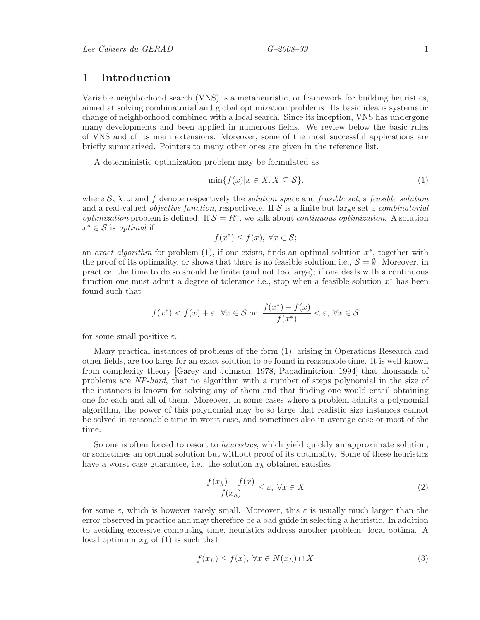## 1 Introduction

Variable neighborhood search (VNS) is a metaheuristic, or framework for building heuristics, aimed at solving combinatorial and global optimization problems. Its basic idea is systematic change of neighborhood combined with a local search. Since its inception, VNS has undergone many developments and been applied in numerous fields. We review below the basic rules of VNS and of its main extensions. Moreover, some of the most successful applications are briefly summarized. Pointers to many other ones are given in the reference list.

A deterministic optimization problem may be formulated as

$$
\min\{f(x)|x \in X, X \subseteq \mathcal{S}\},\tag{1}
$$

where  $S, X, x$  and f denote respectively the *solution space* and feasible set, a feasible solution and a real-valued *objective function*, respectively. If  $S$  is a finite but large set a *combinatorial* optimization problem is defined. If  $S = R<sup>n</sup>$ , we talk about continuous optimization. A solution  $x^* \in \mathcal{S}$  is *optimal* if

$$
f(x^*) \le f(x), \ \forall x \in \mathcal{S};
$$

an exact algorithm for problem  $(1)$ , if one exists, finds an optimal solution  $x^*$ , together with the proof of its optimality, or shows that there is no feasible solution, i.e.,  $\mathcal{S} = \emptyset$ . Moreover, in practice, the time to do so should be finite (and not too large); if one deals with a continuous function one must admit a degree of tolerance i.e., stop when a feasible solution  $x^*$  has been found such that

$$
f(x^*) < f(x) + \varepsilon
$$
,  $\forall x \in S$  or  $\frac{f(x^*) - f(x)}{f(x^*)} < \varepsilon$ ,  $\forall x \in S$ 

for some small positive  $\varepsilon$ .

Many practical instances of problems of the form (1), arising in Operations Research and other fields, are too large for an exact solution to be found in reasonable time. It is well-known from complexity theory [\[Garey and Johnson,](#page-35-0) [1978,](#page-35-0) [Papadimitriou,](#page-39-0) [1994\]](#page-39-0) that thousands of problems are NP-hard, that no algorithm with a number of steps polynomial in the size of the instances is known for solving any of them and that finding one would entail obtaining one for each and all of them. Moreover, in some cases where a problem admits a polynomial algorithm, the power of this polynomial may be so large that realistic size instances cannot be solved in reasonable time in worst case, and sometimes also in average case or most of the time.

So one is often forced to resort to *heuristics*, which yield quickly an approximate solution, or sometimes an optimal solution but without proof of its optimality. Some of these heuristics have a worst-case guarantee, i.e., the solution  $x<sub>h</sub>$  obtained satisfies

$$
\frac{f(x_h) - f(x)}{f(x_h)} \le \varepsilon, \ \forall x \in X \tag{2}
$$

for some  $\varepsilon$ , which is however rarely small. Moreover, this  $\varepsilon$  is usually much larger than the error observed in practice and may therefore be a bad guide in selecting a heuristic. In addition to avoiding excessive computing time, heuristics address another problem: local optima. A local optimum  $x_L$  of (1) is such that

$$
f(x_L) \le f(x), \ \forall x \in N(x_L) \cap X \tag{3}
$$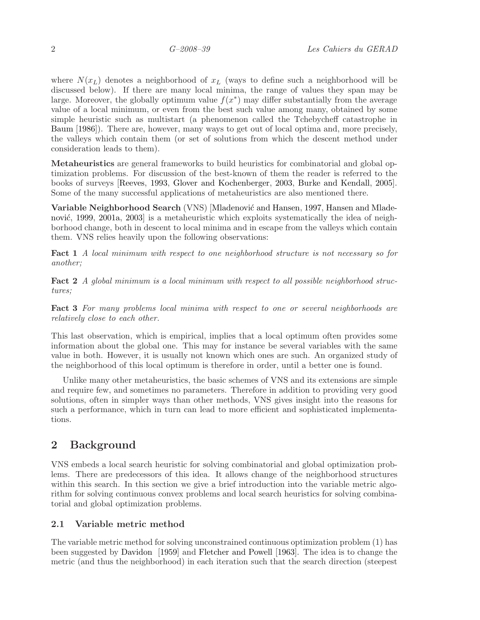where  $N(x_L)$  denotes a neighborhood of  $x_L$  (ways to define such a neighborhood will be discussed below). If there are many local minima, the range of values they span may be large. Moreover, the globally optimum value  $f(x^*)$  may differ substantially from the average value of a local minimum, or even from the best such value among many, obtained by some simple heuristic such as multistart (a phenomenon called the Tchebycheff catastrophe in [Baum](#page-31-0) [\[1986](#page-31-0)]). There are, however, many ways to get out of local optima and, more precisely, the valleys which contain them (or set of solutions from which the descent method under consideration leads to them).

Metaheuristics are general frameworks to build heuristics for combinatorial and global optimization problems. For discussion of the best-known of them the reader is referred to the books of surveys [\[Reeves](#page-40-0), [1993,](#page-40-0) [Glover and Kochenberger](#page-35-1), [2003,](#page-35-1) [Burke and Kendall,](#page-33-0) [2005\]](#page-33-0). Some of the many successful applications of metaheuristics are also mentioned there.

Variable Neighborhood Search [\(VNS\)](#page-36-0) Mladenović and Hansen[,](#page-36-0) [1997](#page-38-0), Hansen and Mlade-nović, [1999,](#page-36-0) [2001a,](#page-36-1) 2003 is a metaheuristic which exploits systematically the idea of neighborhood change, both in descent to local minima and in escape from the valleys which contain them. VNS relies heavily upon the following observations:

Fact 1 A local minimum with respect to one neighborhood structure is not necessary so for another;

**Fact 2** A global minimum is a local minimum with respect to all possible neighborhood structures;

**Fact 3** For many problems local minima with respect to one or several neighborhoods are relatively close to each other.

This last observation, which is empirical, implies that a local optimum often provides some information about the global one. This may for instance be several variables with the same value in both. However, it is usually not known which ones are such. An organized study of the neighborhood of this local optimum is therefore in order, until a better one is found.

Unlike many other metaheuristics, the basic schemes of VNS and its extensions are simple and require few, and sometimes no parameters. Therefore in addition to providing very good solutions, often in simpler ways than other methods, VNS gives insight into the reasons for such a performance, which in turn can lead to more efficient and sophisticated implementations.

## 2 Background

VNS embeds a local search heuristic for solving combinatorial and global optimization problems. There are predecessors of this idea. It allows change of the neighborhood structures within this search. In this section we give a brief introduction into the variable metric algorithm for solving continuous convex problems and local search heuristics for solving combinatorial and global optimization problems.

## 2.1 Variable metric method

The variable metric method for solving unconstrained continuous optimization problem (1) has been suggested by [Davidon](#page-33-1) [\[1959\]](#page-33-1) and [Fletcher and Powell](#page-34-0) [\[1963\]](#page-34-0). The idea is to change the metric (and thus the neighborhood) in each iteration such that the search direction (steepest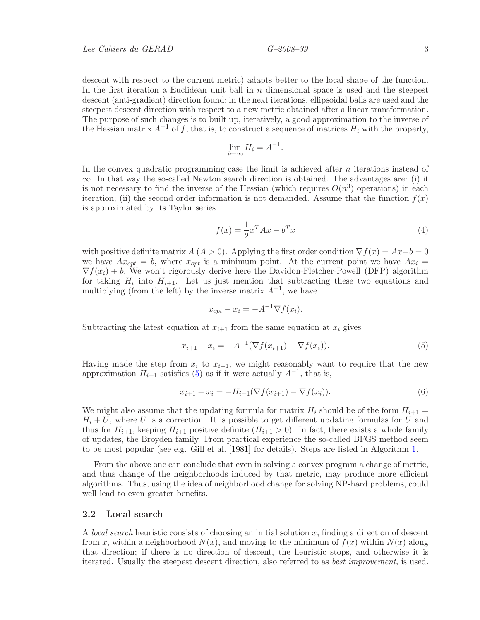$$
G - 2008 - 39
$$

.

descent with respect to the current metric) adapts better to the local shape of the function. In the first iteration a Euclidean unit ball in  $n$  dimensional space is used and the steepest descent (anti-gradient) direction found; in the next iterations, ellipsoidal balls are used and the steepest descent direction with respect to a new metric obtained after a linear transformation. The purpose of such changes is to built up, iteratively, a good approximation to the inverse of the Hessian matrix  $A^{-1}$  of f, that is, to construct a sequence of matrices  $H_i$  with the property,

$$
\lim_{i \to \infty} H_i = A^{-1}
$$

In the convex quadratic programming case the limit is achieved after  $n$  iterations instead of  $\infty$ . In that way the so-called Newton search direction is obtained. The advantages are: (i) it is not necessary to find the inverse of the Hessian (which requires  $O(n^3)$  operations) in each iteration; (ii) the second order information is not demanded. Assume that the function  $f(x)$ is approximated by its Taylor series

$$
f(x) = \frac{1}{2}x^T A x - b^T x \tag{4}
$$

with positive definite matrix  $A(A > 0)$ . Applying the first order condition  $\nabla f(x) = Ax - b = 0$ we have  $Ax_{opt} = b$ , where  $x_{opt}$  is a minimum point. At the current point we have  $Ax_i =$  $\nabla f(x_i) + b$ . We won't rigorously derive here the Davidon-Fletcher-Powell (DFP) algorithm for taking  $H_i$  into  $H_{i+1}$ . Let us just mention that subtracting these two equations and multiplying (from the left) by the inverse matrix  $A^{-1}$ , we have

$$
x_{opt} - x_i = -A^{-1} \nabla f(x_i).
$$

<span id="page-8-0"></span>Subtracting the latest equation at  $x_{i+1}$  from the same equation at  $x_i$  gives

$$
x_{i+1} - x_i = -A^{-1}(\nabla f(x_{i+1}) - \nabla f(x_i)).
$$
\n(5)

Having made the step from  $x_i$  to  $x_{i+1}$ , we might reasonably want to require that the new approximation  $H_{i+1}$  satisfies [\(5\)](#page-8-0) as if it were actually  $A^{-1}$ , that is,

$$
x_{i+1} - x_i = -H_{i+1}(\nabla f(x_{i+1}) - \nabla f(x_i)).\tag{6}
$$

We might also assume that the updating formula for matrix  $H_i$  should be of the form  $H_{i+1}$  =  $H_i + U$ , where U is a correction. It is possible to get different updating formulas for U and thus for  $H_{i+1}$ , keeping  $H_{i+1}$  positive definite  $(H_{i+1} > 0)$ . In fact, there exists a whole family of updates, the Broyden family. From practical experience the so-called BFGS method seem to be most popular (see e.g. [Gill et al.](#page-35-2) [\[1981](#page-35-2)] for details). Steps are listed in Algorithm [1.](#page-8-1)

<span id="page-8-1"></span>From the above one can conclude that even in solving a convex program a change of metric, and thus change of the neighborhoods induced by that metric, may produce more efficient algorithms. Thus, using the idea of neighborhood change for solving NP-hard problems, could well lead to even greater benefits.

#### 2.2 Local search

A local search heuristic consists of choosing an initial solution x, finding a direction of descent from x, within a neighborhood  $N(x)$ , and moving to the minimum of  $f(x)$  within  $N(x)$  along that direction; if there is no direction of descent, the heuristic stops, and otherwise it is iterated. Usually the steepest descent direction, also referred to as best improvement, is used.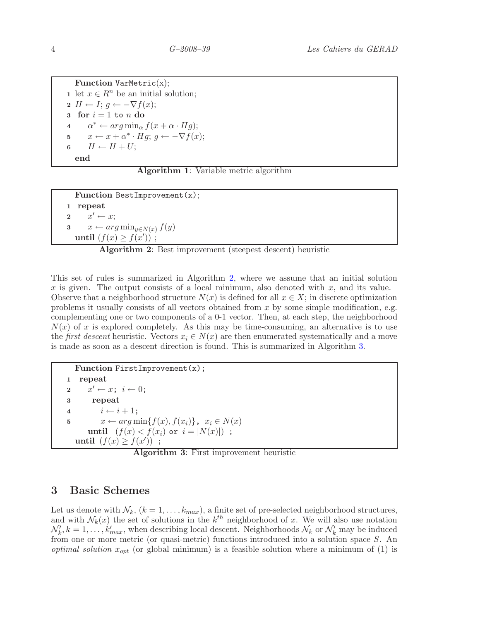Function  $VarMetric(x);$ 1 let  $x \in R^n$  be an initial solution; 2  $H \leftarrow I$ ;  $q \leftarrow -\nabla f(x)$ ; 3 for  $i = 1$  to n do 4  $\alpha^* \leftarrow arg \min_{\alpha} f(x + \alpha \cdot Hg);$ 5  $x \leftarrow x + \alpha^* \cdot Hg; g \leftarrow -\nabla f(x);$ 6  $H \leftarrow H + U;$ end

<span id="page-9-0"></span>

Function BestImprovement(x); 1 repeat  $x' \leftarrow x;$ 3  $x \leftarrow arg \min_{y \in N(x)} f(y)$ until  $(f(x) \geq f(x'))$ ;



This set of rules is summarized in Algorithm [2,](#page-9-0) where we assume that an initial solution x is given. The output consists of a local minimum, also denoted with  $x$ , and its value. Observe that a neighborhood structure  $N(x)$  is defined for all  $x \in X$ ; in discrete optimization problems it usually consists of all vectors obtained from x by some simple modification, e.g. complementing one or two components of a 0-1 vector. Then, at each step, the neighborhood  $N(x)$  of x is explored completely. As this may be time-consuming, an alternative is to use the *first descent* heuristic. Vectors  $x_i \in N(x)$  are then enumerated systematically and a move is made as soon as a descent direction is found. This is summarized in Algorithm [3.](#page-9-1)

Function FirstImprovement(x); 1 repeat  $\overline{x'} \leftarrow x; \ \ i \leftarrow 0;$ 3 repeat 4  $i \leftarrow i + 1;$ 5  $x \leftarrow arg \min\{f(x), f(x_i)\}, x_i \in N(x)$ until  $(f(x) < f(x_i)$  or  $i = |N(x)|)$ ; until  $(f(x) \geq f(x'))$ ;

<span id="page-9-1"></span>Algorithm 3: First improvement heuristic

## 3 Basic Schemes

Let us denote with  $\mathcal{N}_k$ ,  $(k = 1, \ldots, k_{max})$ , a finite set of pre-selected neighborhood structures, and with  $\mathcal{N}_k(x)$  the set of solutions in the  $k^{th}$  neighborhood of x. We will also use notation  $\mathcal{N}'_k, k = 1, \ldots, k'_{max}$ , when describing local descent. Neighborhoods  $\mathcal{N}_k$  or  $\mathcal{N}'_k$  may be induced from one or more metric (or quasi-metric) functions introduced into a solution space S. An *optimal solution*  $x_{opt}$  (or global minimum) is a feasible solution where a minimum of (1) is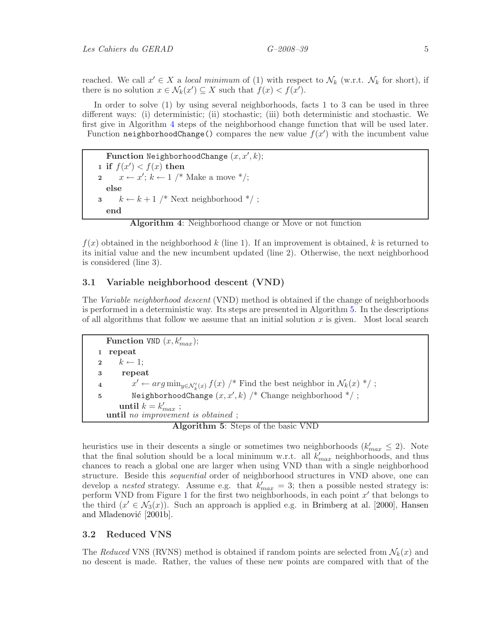reached. We call  $x' \in X$  a local minimum of (1) with respect to  $\mathcal{N}_k$  (w.r.t.  $\mathcal{N}_k$  for short), if there is no solution  $x \in \mathcal{N}_k(x') \subseteq X$  such that  $f(x) < f(x')$ .

<span id="page-10-0"></span>In order to solve (1) by using several neighborhoods, facts 1 to 3 can be used in three different ways: (i) deterministic; (ii) stochastic; (iii) both deterministic and stochastic. We first give in Algorithm [4](#page-10-0) steps of the neighborhood change function that will be used later. Function neighborhoodChange() compares the new value  $f(x')$  with the incumbent value

Function NeighborhoodChange  $(x, x', k)$ ; 1 if  $f(x') < f(x)$  then 2  $x \leftarrow x'$ ;  $k \leftarrow 1$  /\* Make a move \*/; else 3  $k \leftarrow k + 1$  /\* Next neighborhood \*/; end

Algorithm 4: Neighborhood change or Move or not function

 $f(x)$  obtained in the neighborhood k (line 1). If an improvement is obtained, k is returned to its initial value and the new incumbent updated (line 2). Otherwise, the next neighborhood is considered (line 3).

### 3.1 Variable neighborhood descent (VND)

The Variable neighborhood descent (VND) method is obtained if the change of neighborhoods is performed in a deterministic way. Its steps are presented in Algorithm [5.](#page-10-1) In the descriptions of all algorithms that follow we assume that an initial solution  $x$  is given. Most local search

Function VND  $(x, k'_{max});$ 1 repeat 2  $k \leftarrow 1;$ 3 repeat 4  $x' \leftarrow arg \min_{y \in \mathcal{N}'_k(x)} f(x)$  /\* Find the best neighbor in  $\mathcal{N}_k(x)$  \*/; 5 NeighborhoodChange  $(x, x', k)$  /\* Change neighborhood \*/; until  $k = k'_{max}$ ; until no improvement is obtained ;

<span id="page-10-1"></span>Algorithm 5: Steps of the basic VND

heuristics use in their descents a single or sometimes two neighborhoods  $(k'_{max} \leq 2)$ . Note that the final solution should be a local minimum w.r.t. all  $k'_{max}$  neighborhoods, and thus chances to reach a global one are larger when using VND than with a single neighborhood structure. Beside this sequential order of neighborhood structures in VND above, one can develop a nested strategy. Assume e.g. that  $k'_{max} = 3$ ; then a possible nested strategy is: perform VND from Figure [1](#page-12-0) for the first two neighborhoods, in each point  $x'$  that belongs to the third  $(x' \in \mathcal{N}_3(x))$ . Such an approach is applied e.g. in [Brimberg at al.](#page-32-0) [\[2000](#page-32-0)], Hansen and Mladenović [\[2001b\]](#page-36-3).

### 3.2 Reduced VNS

The Reduced VNS (RVNS) method is obtained if random points are selected from  $\mathcal{N}_k(x)$  and no descent is made. Rather, the values of these new points are compared with that of the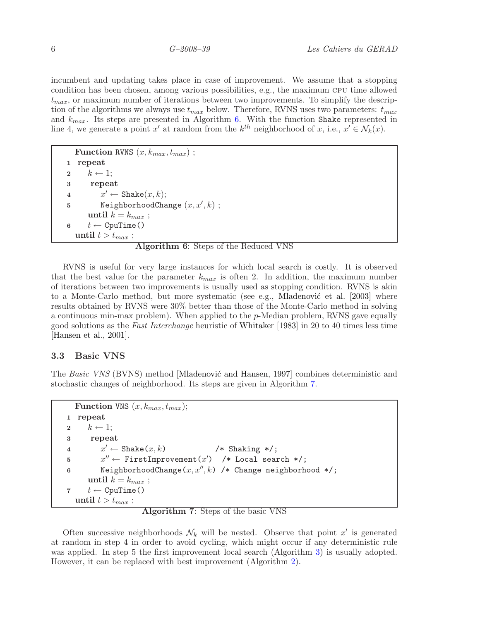incumbent and updating takes place in case of improvement. We assume that a stopping condition has been chosen, among various possibilities, e.g., the maximum cpu time allowed  $t_{max}$ , or maximum number of iterations between two improvements. To simplify the description of the algorithms we always use  $t_{max}$  below. Therefore, RVNS uses two parameters:  $t_{max}$ and  $k_{max}$ . Its steps are presented in Algorithm [6.](#page-11-0) With the function Shake represented in line 4, we generate a point x' at random from the  $k^{th}$  neighborhood of x, i.e.,  $x' \in \mathcal{N}_k(x)$ .

```
Function RVNS (x, k_{max}, t_{max});
1 repeat
2 k \leftarrow 1;
3 repeat
x' \leftarrow \texttt{Shake}(x, k);5 NeighborhoodChange (x, x', k);
      until k = k_{max};
6 t \leftarrow CpuTime()
  until t > t_{max};
```
Algorithm 6: Steps of the Reduced VNS

RVNS is useful for very large instances for which local search is costly. It is observed that the best value for the parameter  $k_{max}$  is often 2. In addition, the maximum number of iterations between two improvements is usually used as stopping condition. RVNS is akin to a Monte-Carlo method, but more systematic (see e.g., Mladenović et al.  $[2003]$  where results obtained by RVNS were 30% better than those of the Monte-Carlo method in solving a continuous min-max problem). When applied to the  $p$ -Median problem, RVNS gave equally good solutions as the Fast Interchange heuristic of [Whitaker](#page-41-0) [\[1983\]](#page-41-0) in 20 to 40 times less time [\[Hansen et al.,](#page-36-4) [2001](#page-36-4)].

#### 3.3 Basic VNS

<span id="page-11-1"></span>The Basic VNS (BVNS) method [Mladenović and Hansen, [1997](#page-38-0)] combines deterministic and stochastic changes of neighborhood. Its steps are given in Algorithm [7.](#page-11-1)

```
Function VNS (x, k_{max}, t_{max});
1 repeat
2 k \leftarrow 1;
3 repeat
4 x' \leftarrow \text{Shake}(x, k)/* Shaking */;5 x'' \leftarrow FirstImprovement(x') /* Local search */;
6 NeighborhoodChange(x, x'', k) /* Change neighborhood */;
     until k = k_{max};
7 t \leftarrow CpuTime()
  until t > t_{max};
```

```
Algorithm 7: Steps of the basic VNS
```
Often successive neighborhoods  $\mathcal{N}_k$  will be nested. Observe that point  $x'$  is generated at random in step 4 in order to avoid cycling, which might occur if any deterministic rule was applied. In step 5 the first improvement local search (Algorithm [3\)](#page-9-1) is usually adopted. However, it can be replaced with best improvement (Algorithm [2\)](#page-9-0).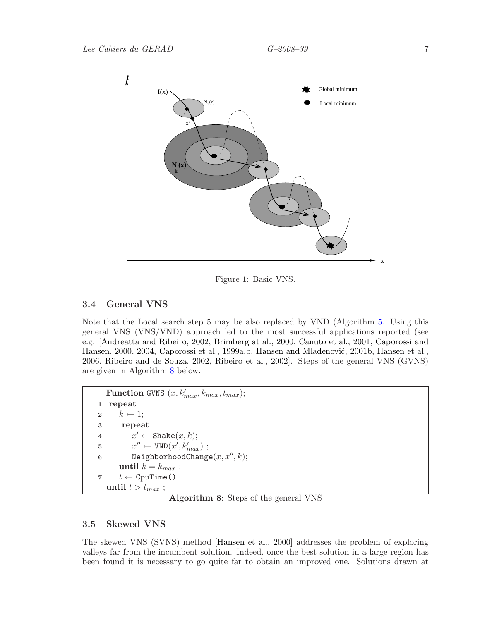

<span id="page-12-0"></span>Figure 1: Basic VNS.

#### 3.4 General VNS

Note that the Local search step 5 may be also replaced by VND (Algorithm [5.](#page-10-1) Using this general VNS (VNS/VND) approach led to the most successful applications reported (see e.g. [\[Andreatta and Ribeiro](#page-30-0)[,](#page-33-3) [2002](#page-30-0), [Brimberg at al.](#page-32-0), [2000,](#page-32-0) [Canuto et al.,](#page-33-2) [2001](#page-33-2), Caporossi and Hansen, [2000,](#page-33-3) [2004](#page-33-4), [Caporossi et al.](#page-33-5), [1999a](#page-33-5), b, Hansen and Mladenović, [2001b,](#page-36-3) [Hansen et al.,](#page-36-5) [2006,](#page-36-5) [Ribeiro and de Souza](#page-40-1), [2002,](#page-40-1) [Ribeiro et al.,](#page-40-2) [2002](#page-40-2)]. Steps of the general VNS (GVNS) are given in Algorithm [8](#page-12-1) below.

```
Function GVNS (x, k'_{max}, k_{max}, t_{max});
1 repeat
2 k \leftarrow 1;
3 repeat
4 x' \leftarrow \texttt{Shake}(x, k);5 x'' \leftarrow \text{VND}(x', k'_{max});
6 NeighborhoodChange(x, x'', k);until k = k_{max};
7 t \leftarrow CpuTime()
  until t > t_{max};
```
Algorithm 8: Steps of the general VNS

#### 3.5 Skewed VNS

The skewed VNS (SVNS) method [\[Hansen et al.](#page-36-6), [2000\]](#page-36-6) addresses the problem of exploring valleys far from the incumbent solution. Indeed, once the best solution in a large region has been found it is necessary to go quite far to obtain an improved one. Solutions drawn at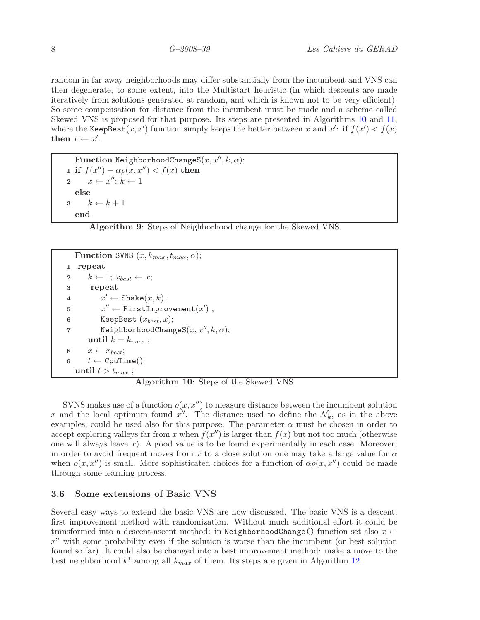random in far-away neighborhoods may differ substantially from the incumbent and VNS can then degenerate, to some extent, into the Multistart heuristic (in which descents are made iteratively from solutions generated at random, and which is known not to be very efficient). So some compensation for distance from the incumbent must be made and a scheme called Skewed VNS is proposed for that purpose. Its steps are presented in Algorithms [10](#page-13-0) and [11,](#page-13-1) where the KeepBest $(x, x')$  function simply keeps the better between x and  $x'$ : if  $f(x') < f(x)$ then  $x \leftarrow x'$ .

Function NeighborhoodChangeS $(x, x'', k, \alpha);$ if  $f(x'') - \alpha \rho(x, x'') < f(x)$  then 2  $x \leftarrow x''; k \leftarrow 1$ else  $3 \qquad k \leftarrow k + 1$ end

Algorithm 9: Steps of Neighborhood change for the Skewed VNS

```
Function SVNS (x, k_{max}, t_{max}, \alpha);1 repeat
2 k \leftarrow 1; x_{best} \leftarrow x;3 repeat
4 x' \leftarrow \texttt{Shake}(x, k);5 x'' \leftarrow \text{FirstImprovement}(x');
6 KeepBest (x_{best}, x);
7 NeighborhoodChangeS(x, x'', k, \alpha);
      until k = k_{max};
8 x \leftarrow x_{best};9 t \leftarrow CpuTime();
  until t > t_{max};
```
Algorithm 10: Steps of the Skewed VNS

SVNS makes use of a function  $\rho(x, x'')$  to measure distance between the incumbent solution x and the local optimum found  $x''$ . The distance used to define the  $\mathcal{N}_k$ , as in the above examples, could be used also for this purpose. The parameter  $\alpha$  must be chosen in order to accept exploring valleys far from x when  $f(x'')$  is larger than  $f(x)$  but not too much (otherwise one will always leave x). A good value is to be found experimentally in each case. Moreover, in order to avoid frequent moves from x to a close solution one may take a large value for  $\alpha$ when  $\rho(x, x'')$  is small. More sophisticated choices for a function of  $\alpha \rho(x, x'')$  could be made through some learning process.

### 3.6 Some extensions of Basic VNS

<span id="page-13-1"></span>Several easy ways to extend the basic VNS are now discussed. The basic VNS is a descent, first improvement method with randomization. Without much additional effort it could be transformed into a descent-ascent method: in NeighborhoodChange() function set also  $x \leftarrow$ x" with some probability even if the solution is worse than the incumbent (or best solution found so far). It could also be changed into a best improvement method: make a move to the best neighborhood  $k^*$  among all  $k_{max}$  of them. Its steps are given in Algorithm [12.](#page-14-0)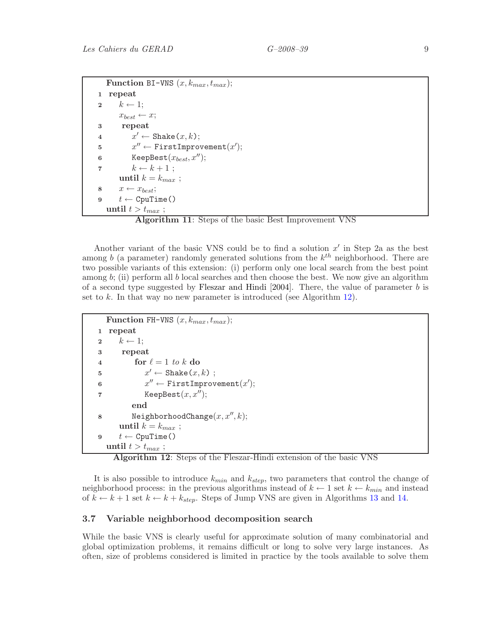```
Function BI-VNS (x, k_{max}, t_{max});
1 repeat
2 \qquad k \leftarrow 1;
      x_{best} \leftarrow x;3 repeat
x' \leftarrow \texttt{Shake}(x, k);5 x'' \leftarrow \text{FirstImprovement}(x');6 KeepBest(x_{best}, x'');
7 k \leftarrow k + 1;
      until k = k_{max};
8 x \leftarrow x_{best};t \leftarrow CpuTime()
  until t > t_{max};
```
Algorithm 11: Steps of the basic Best Improvement VNS

Another variant of the basic VNS could be to find a solution  $x'$  in Step 2a as the best among b (a parameter) randomly generated solutions from the  $k^{th}$  neighborhood. There are two possible variants of this extension: (i) perform only one local search from the best point among  $b$ ; (ii) perform all b local searches and then choose the best. We now give an algorithm of a second type suggested by [Fleszar and Hindi](#page-34-1)  $[2004]$ . There, the value of parameter b is set to  $k$ . In that way no new parameter is introduced (see Algorithm [12\)](#page-14-0).

```
Function FH-VNS (x, k_{max}, t_{max});
1 repeat
2 k \leftarrow 1;
3 repeat
4 for \ell = 1 to k do
5 x' \leftarrow \texttt{Shake}(x, k);6 x'' \leftarrow \texttt{FirstImprovement}(x');7 KeepBest(x, x'');
        end
8 NeighborhoodChange(x, x'', k);until k = k_{max};
9 t \leftarrow CpuTime()
  until t > t_{max};
```
Algorithm 12: Steps of the Fleszar-Hindi extension of the basic VNS

It is also possible to introduce  $k_{min}$  and  $k_{step}$ , two parameters that control the change of neighborhood process: in the previous algorithms instead of  $k \leftarrow 1$  set  $k \leftarrow k_{min}$  and instead of  $k \leftarrow k+1$  set  $k \leftarrow k+k_{step}$ . Steps of Jump VNS are given in Algorithms [13](#page-14-1) and [14.](#page-14-1)

#### <span id="page-14-1"></span>3.7 Variable neighborhood decomposition search

While the basic VNS is clearly useful for approximate solution of many combinatorial and global optimization problems, it remains difficult or long to solve very large instances. As often, size of problems considered is limited in practice by the tools available to solve them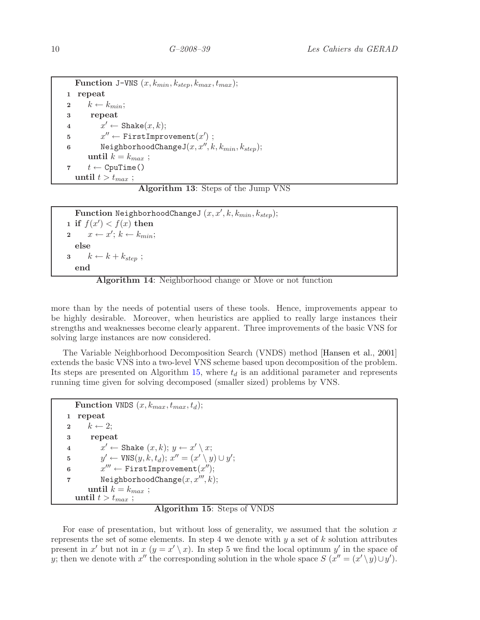```
Function J-VNS (x, k_{min}, k_{step}, k_{max}, t_{max});
1 repeat
2 k \leftarrow k_{min};3 repeat
x' \leftarrow \texttt{Shake}(x, k);5 x'' \leftarrow \text{FirstImprovement}(x');
6 NeighborhoodChangeJ(x, x'', k, k_{min}, k_{sten});until k = k_{max};
7 t \leftarrow CpuTime()
  until t > t_{max};
```
Algorithm 13: Steps of the Jump VNS

Function NeighborhoodChangeJ  $(x, x', k, k_{min}, k_{step});$ 1 if  $f(x') < f(x)$  then 2  $x \leftarrow x' ; k \leftarrow k_{min};$ else  $3 \qquad k \leftarrow k + k_{step}$ ; end

Algorithm 14: Neighborhood change or Move or not function

more than by the needs of potential users of these tools. Hence, improvements appear to be highly desirable. Moreover, when heuristics are applied to really large instances their strengths and weaknesses become clearly apparent. Three improvements of the basic VNS for solving large instances are now considered.

<span id="page-15-0"></span>The Variable Neighborhood Decomposition Search (VNDS) method [\[Hansen et al.](#page-36-4), [2001\]](#page-36-4) extends the basic VNS into a two-level VNS scheme based upon decomposition of the problem. Its steps are presented on Algorithm [15,](#page-15-0) where  $t_d$  is an additional parameter and represents running time given for solving decomposed (smaller sized) problems by VNS.

```
Function VNDS (x, k_{max}, t_{max}, t_d);1 repeat
2 k \leftarrow 2;
3 repeat
4 x' \leftarrow \text{Shake}(x, k); y \leftarrow x' \setminus x;5 y' \leftarrow \text{VNS}(y, k, t_d); x'' = (x' \setminus y) \cup y';6 x''' \leftarrow \texttt{FirstImprovement}(x'');7 NeighborhoodChange(x, x''', k);
      until k = k_{max};
  until t > t_{max};
```
## Algorithm 15: Steps of VNDS

For ease of presentation, but without loss of generality, we assumed that the solution  $x$ represents the set of some elements. In step 4 we denote with  $y$  a set of k solution attributes present in x' but not in  $x (y = x' \setminus x)$ . In step 5 we find the local optimum y' in the space of y; then we denote with x'' the corresponding solution in the whole space  $S(x'' = (x' \setminus y) \cup y')$ .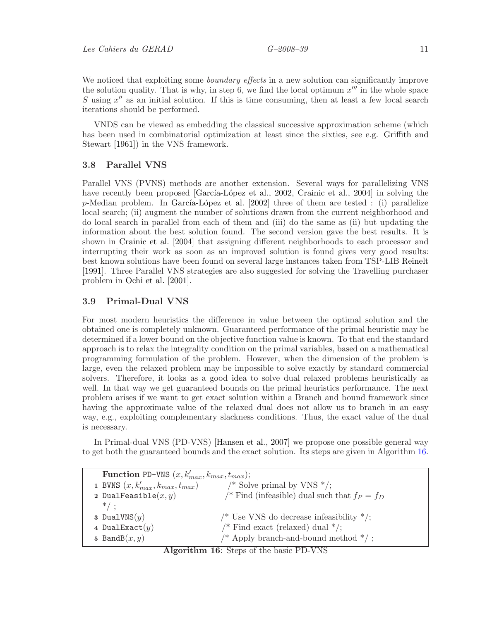We noticed that exploiting some *boundary effects* in a new solution can significantly improve the solution quality. That is why, in step 6, we find the local optimum  $x^{\prime\prime\prime}$  in the whole space S using  $x''$  as an initial solution. If this is time consuming, then at least a few local search iterations should be performed.

VNDS can be viewed as embedding the classical successive approximation scheme (which has bee[n used in combinatorial optimization at least since the sixties, see e.g.](#page-35-3) Griffith and Stewart [\[1961\]](#page-35-3)) in the VNS framework.

## 3.8 Parallel VNS

Parallel VNS (PVNS) methods are another extension. Several ways for parallelizing VNS have recently been proposed [García-López et al., [2002](#page-35-4), [Crainic et al.,](#page-33-7) [2004\]](#page-33-7) in solving the  $p$ -Median problem. In García-López et al. [\[2002](#page-35-4)] three of them are tested : (i) parallelize local search; (ii) augment the number of solutions drawn from the current neighborhood and do local search in parallel from each of them and (iii) do the same as (ii) but updating the information about the best solution found. The second version gave the best results. It is shown in [Crainic et al.](#page-33-7) [\[2004\]](#page-33-7) that assigning different neighborhoods to each processor and interrupting their work as soon as an improved solution is found gives very good results: best known solutions have been found on several large instances taken from TSP-LIB [Reinelt](#page-40-3) [\[1991\]](#page-40-3). Three Parallel VNS strategies are also suggested for solving the Travelling purchaser problem in [Ochi et al.](#page-39-2) [\[2001](#page-39-2)].

### 3.9 Primal-Dual VNS

For most modern heuristics the difference in value between the optimal solution and the obtained one is completely unknown. Guaranteed performance of the primal heuristic may be determined if a lower bound on the objective function value is known. To that end the standard approach is to relax the integrality condition on the primal variables, based on a mathematical programming formulation of the problem. However, when the dimension of the problem is large, even the relaxed problem may be impossible to solve exactly by standard commercial solvers. Therefore, it looks as a good idea to solve dual relaxed problems heuristically as well. In that way we get guaranteed bounds on the primal heuristics performance. The next problem arises if we want to get exact solution within a Branch and bound framework since having the approximate value of the relaxed dual does not allow us to branch in an easy way, e.g., exploiting complementary slackness conditions. Thus, the exact value of the dual is necessary.

<span id="page-16-0"></span>In Primal-dual VNS (PD-VNS) [\[Hansen et al.,](#page-36-7) [2007](#page-36-7)] we propose one possible general way to get both the guaranteed bounds and the exact solution. Its steps are given in Algorithm [16.](#page-16-0)

| <b>Function</b> PD-VNS $(x, k'_{max}, k_{max}, t_{max})$ ; |                                                   |  |
|------------------------------------------------------------|---------------------------------------------------|--|
| 1 BVNS $(x, k'_{max}, k_{max}, t_{max})$                   | $\frac{*}{*}$ Solve primal by VNS $\frac{*}{*}$ ; |  |
| 2 DualFeasible $(x, y)$                                    | /* Find (infeasible) dual such that $f_P = f_D$   |  |
| $*$ / :                                                    |                                                   |  |
| 3 DualVNS $(y)$                                            | /* Use VNS do decrease infeasibility $*/;$        |  |
| 4 DualExact $(y)$                                          | /* Find exact (relaxed) dual $*/$ ;               |  |
| 5 BandB $(x, y)$                                           | /* Apply branch-and-bound method $*/$ ;           |  |

Algorithm 16: Steps of the basic PD-VNS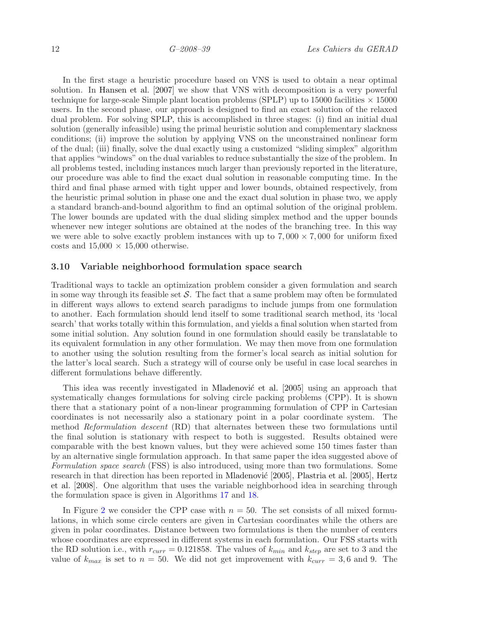In the first stage a heuristic procedure based on VNS is used to obtain a near optimal solution. In [Hansen et al.](#page-36-7) [\[2007\]](#page-36-7) we show that VNS with decomposition is a very powerful technique for large-scale Simple plant location problems (SPLP) up to 15000 facilities  $\times$  15000 users. In the second phase, our approach is designed to find an exact solution of the relaxed dual problem. For solving SPLP, this is accomplished in three stages: (i) find an initial dual solution (generally infeasible) using the primal heuristic solution and complementary slackness conditions; (ii) improve the solution by applying VNS on the unconstrained nonlinear form of the dual; (iii) finally, solve the dual exactly using a customized "sliding simplex" algorithm that applies "windows" on the dual variables to reduce substantially the size of the problem. In all problems tested, including instances much larger than previously reported in the literature, our procedure was able to find the exact dual solution in reasonable computing time. In the third and final phase armed with tight upper and lower bounds, obtained respectively, from the heuristic primal solution in phase one and the exact dual solution in phase two, we apply a standard branch-and-bound algorithm to find an optimal solution of the original problem. The lower bounds are updated with the dual sliding simplex method and the upper bounds whenever new integer solutions are obtained at the nodes of the branching tree. In this way we were able to solve exactly problem instances with up to  $7,000 \times 7,000$  for uniform fixed costs and  $15,000 \times 15,000$  otherwise.

#### 3.10 Variable neighborhood formulation space search

Traditional ways to tackle an optimization problem consider a given formulation and search in some way through its feasible set  $\mathcal{S}$ . The fact that a same problem may often be formulated in different ways allows to extend search paradigms to include jumps from one formulation to another. Each formulation should lend itself to some traditional search method, its 'local search' that works totally within this formulation, and yields a final solution when started from some initial solution. Any solution found in one formulation should easily be translatable to its equivalent formulation in any other formulation. We may then move from one formulation to another using the solution resulting from the former's local search as initial solution for the latter's local search. Such a strategy will of course only be useful in case local searches in different formulations behave differently.

This idea was recently investigated in Mladenović et al. [\[2005\]](#page-39-3) using an approach that systematically changes formulations for solving circle packing problems (CPP). It is shown there that a stationary point of a non-linear programming formulation of CPP in Cartesian coordinates is not necessarily also a stationary point in a polar coordinate system. The method Reformulation descent (RD) that alternates between these two formulations until the final solution is stationary with respect to both is suggested. Results obtained were comparable with the best known values, but they were achieved some 150 times faster than by an alternative single formulation approach. In that same paper the idea suggested above of Formulation space search (FSS) is also introduced, using more than two formulations. Some resea[rch in that direction has been reported in](#page-37-0) Mladenović [\[2005\]](#page-38-1), [Plastria et al.](#page-40-4) [\[2005](#page-40-4)], Hertz et al. [\[2008\]](#page-37-0). One algorithm that uses the variable neighborhood idea in searching through the formulation space is given in Algorithms [17](#page-17-0) and [18.](#page-17-0)

<span id="page-17-0"></span>In Figure [2](#page-19-0) we consider the CPP case with  $n = 50$ . The set consists of all mixed formulations, in which some circle centers are given in Cartesian coordinates while the others are given in polar coordinates. Distance between two formulations is then the number of centers whose coordinates are expressed in different systems in each formulation. Our FSS starts with the RD solution i.e., with  $r_{curr} = 0.121858$ . The values of  $k_{min}$  and  $k_{step}$  are set to 3 and the value of  $k_{max}$  is set to  $n = 50$ . We did not get improvement with  $k_{curr} = 3, 6$  and 9. The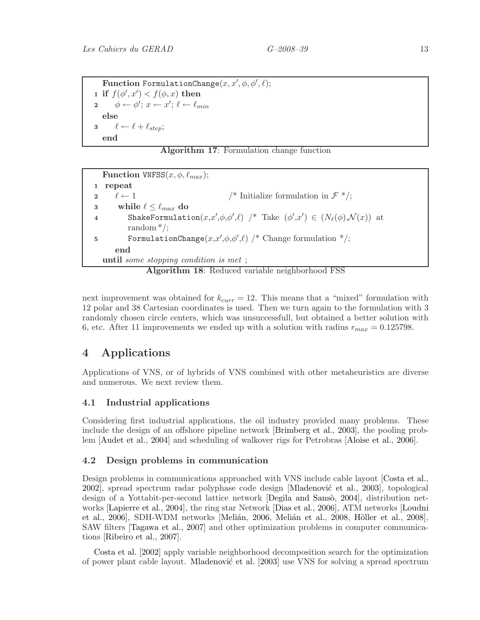Function FormulationChange $(x, x', \phi, \phi', \ell);$ 1 if  $f(\phi', x') < f(\phi, x)$  then 2  $\phi \leftarrow \phi'; x \leftarrow x'; \ell \leftarrow \ell_{min}$ else 3  $\ell \leftarrow \ell + \ell_{step};$ end





next improvement was obtained for  $k_{curr} = 12$ . This means that a "mixed" formulation with 12 polar and 38 Cartesian coordinates is used. Then we turn again to the formulation with 3 randomly chosen circle centers, which was unsuccessfull, but obtained a better solution with 6, etc. After 11 improvements we ended up with a solution with radius  $r_{max} = 0.125798$ .

## 4 Applications

Applications of VNS, or of hybrids of VNS combined with other metaheuristics are diverse and numerous. We next review them.

## 4.1 Industrial applications

Considering first industrial applications, the oil industry provided many problems. These include the design of an offshore pipeline network [\[Brimberg et al.](#page-32-1), [2003\]](#page-32-1), the pooling problem [\[Audet et al.,](#page-31-1) [2004](#page-31-1)] and scheduling of walkover rigs for Petrobras [\[Aloise et al.](#page-30-1), [2006\]](#page-30-1).

## 4.2 Design problems in communication

Design problems in communications approached with VNS include cable layout [\[Costa et al.,](#page-33-8) [2002\]](#page-33-8), spread spectrum radar polyphase code design [Mladenović et al., [2003\]](#page-39-1), topological design of a Yottabit-per-second lattice network Degila and Sanso, [2004](#page-34-2), distribution networks [\[Lapierre et al.](#page-37-1), [2004](#page-37-1)[\], the ring star Network](#page-38-2) [\[Dias et al.](#page-34-3)[,](#page-38-2) [2006\]](#page-34-3), ATM networks [Loudni et al., [2006\]](#page-38-2), SDH-WDM networks [Melián, [2006,](#page-38-3) Melián et al., [2008,](#page-38-4) Höller et al., [2008\]](#page-35-5), SAW filters [\[Tagawa et al.,](#page-41-1) [2007\]](#page-41-1) and other optimization problems in computer communications [\[Ribeiro et al.,](#page-40-5) [2007\]](#page-40-5).

Costa et al. [\[2002](#page-33-8)] apply variable neighborhood decomposition search for the optimization of power plant cable layout. Mladenovic et al. [\[2003\]](#page-39-1) use VNS for solving a spread spectrum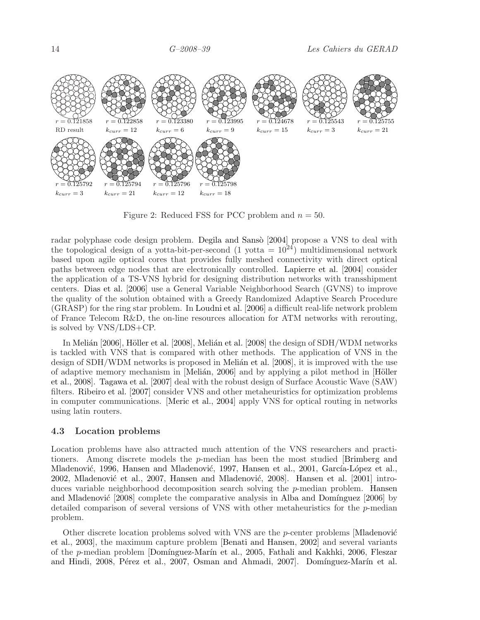

<span id="page-19-0"></span>Figure 2: Reduced FSS for PCC problem and  $n = 50$ .

 $k_{curr} = 18$ 

radar polyphase code design problem. Degila and Sansò [\[2004\]](#page-34-2) propose a VNS to deal with the topological design of a yotta-bit-per-second  $(1 \text{ yotta} = 10^{24})$  multidimensional network based upon agile optical cores that provides fully meshed connectivity with direct optical paths between edge nodes that are electronically controlled. [Lapierre et al.](#page-37-1) [\[2004\]](#page-37-1) consider the application of a TS-VNS hybrid for designing distribution networks with transshipment centers. [Dias et al.](#page-34-3) [\[2006](#page-34-3)] use a General Variable Neighborhood Search (GVNS) to improve the quality of the solution obtained with a Greedy Randomized Adaptive Search Procedure (GRASP) for the ring star problem. In [Loudni et al.](#page-38-2) [\[2006](#page-38-2)] a difficult real-life network problem of France Telecom R&D, the on-line resources allocation for ATM networks with rerouting, is solved by VNS/LDS+CP.

In Melián [\[2006](#page-38-3)], Höller et al. [\[2008\]](#page-35-5), Melián et al. [\[2008](#page-38-4)] the design of SDH/WDM networks is tackled with VNS that is compared with other methods. The application of VNS in the design of  $SDH/WDM$  networks is proposed in Melián et al. [\[2008\]](#page-38-4), it is improved with the use of adaptive memory mechanism in  $[Melián, 2006]$  $[Melián, 2006]$  $[Melián, 2006]$  and by applying a pilot method in  $[Höller]$ et al., [2008](#page-35-5)]. [Tagawa et al.](#page-41-1) [\[2007\]](#page-41-1) deal with the robust design of Surface Acoustic Wave (SAW) filters. [Ribeiro et al.](#page-40-5) [\[2007](#page-40-5)] consider VNS and other metaheuristics for optimization problems in computer communications. [\[Meric et al.](#page-38-5), [2004\]](#page-38-5) apply VNS for optical routing in networks using latin routers.

#### 4.3 Location problems

Location problems have also attracted much attention of the VNS researchers and practitioners. Among discrete models the p[-median has been the most studied \[](#page-32-2)Brimberg and Mladenović, [1996,](#page-32-2) Hansen and Mladenović, [1997](#page-36-8), [Hansen et al.,](#page-36-4) [2001,](#page-36-4) García-López et al., [2002,](#page-35-4) Mladenović et al., [2007,](#page-39-4) Hansen and Mladenović, 2008. [Hansen et al.](#page-36-4) [\[2001](#page-36-4)] introduces variable [neighborhood decomposition search solving](#page-36-9) the  $p$ -median problem. Hansen and Mladenović [\[2008](#page-36-9)] complete the comparative analysis in Alba and Domínguez [\[2006](#page-30-2)] by detailed comparison of several versions of VNS with other metaheuristics for the p-median problem.

O[ther discrete location problems solved with VNS are the](#page-38-6) p-center problems Mladenović et al., [2003](#page-38-6)], the maximum capture problem [\[Benati and Hansen,](#page-32-3) [2002\]](#page-32-3) and several variants of the p-[median problem](#page-35-6) [Domínguez-Marín et al.[,](#page-35-6) [2005](#page-34-4), [Fathali and Kakhki,](#page-34-5) [2006,](#page-34-5) Fleszar and Hindi, [2008,](#page-35-6) Pérez et al., [2007,](#page-39-5) [Osman and Ahmadi,](#page-39-6) [2007](#page-39-6). Domínguez-Marín et al.

 $k_{curr} = 3$ 

 $k_{curr} = 21$ 

 $k_{curr} = 12$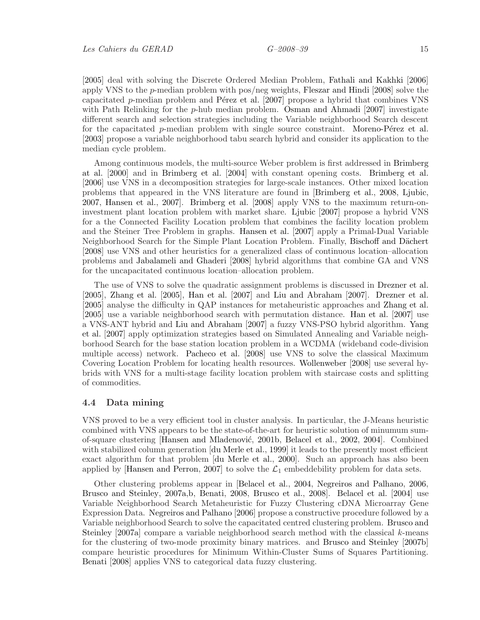[\[2005\]](#page-34-4) deal with solving the Discrete Ordered Median Problem, [Fathali and Kakhki](#page-34-5) [\[2006\]](#page-34-5) apply VNS to the p-median problem with pos/neg weights, [Fleszar and Hindi](#page-35-6) [\[2008](#page-35-6)] solve the capacitated p-median problem and P $\acute{e}$ rez et al. [\[2007\]](#page-39-5) propose a hybrid that combines VNS with Path Relinking for the p-hub median problem. [Osman and Ahmadi](#page-39-6) [\[2007\]](#page-39-6) investigate different search and selection strategies including the Variable neighborhood Search descent for the capacitated p-median problem with single source constraint. Moreno-P $\acute{e}$ erez et al. [\[2003\]](#page-39-7) propose a variable neighborhood tabu search hybrid and consider its application to the median cycle problem.

A[mong continuous models, the multi-source Weber problem is](#page-32-0) first addressed in Brimberg at al. [\[2000](#page-32-0)] and in [Brimberg et al.](#page-32-4) [\[2004](#page-32-4)] with constant opening costs. [Brimberg et al.](#page-32-5) [\[2006\]](#page-32-5) use VNS in a decomposition strategies for large-scale instances. Other mixed location problems that appeared in the VNS literature are found in [\[Brimberg et al.,](#page-32-6) [2008,](#page-32-6) [Ljubic,](#page-38-7) [2007,](#page-38-7) [Hansen et al.](#page-36-7), [2007](#page-36-7)]. [Brimberg et al.](#page-32-6) [\[2008](#page-32-6)] apply VNS to the maximum return-oninvestment plant location problem with market share. [Ljubic](#page-38-7) [\[2007](#page-38-7)] propose a hybrid VNS for a the Connected Facility Location problem that combines the facility location problem and the Steiner Tree Problem in graphs. [Hansen et al.](#page-36-7) [\[2007\]](#page-36-7) apply a Primal-Dual Variable Neighborhood Search for the Simple Plant Location Problem. Finally, Bischoff and Dächert [\[2008\]](#page-32-7) use VNS and other heuristics for a generalized class of continuous location–allocation problems and [Jabalameli and Ghaderi](#page-37-2) [\[2008\]](#page-37-2) hybrid algorithms that combine GA and VNS for the uncapacitated continuous location–allocation problem.

The use of VNS to solve the quadratic assignment problems is discussed in [Drezner et al.](#page-34-6) [\[2005\]](#page-34-6), [Zhang et al.](#page-41-2) [\[2005](#page-41-2)], [Han et al.](#page-35-7) [\[2007](#page-35-7)] and [Liu and Abraham](#page-38-8) [\[2007\]](#page-38-8). [Drezner et al.](#page-34-6) [\[2005\]](#page-34-6) analyse the difficulty in QAP instances for metaheuristic approaches and [Zhang et al.](#page-41-2) [\[2005\]](#page-41-2) use a variable neighborhood search with permutation distance. [Han et al.](#page-35-7) [\[2007](#page-35-7)] use a VNS-ANT hybrid and [Liu and Abraham](#page-38-8) [\[2007](#page-38-8)[\] a fuzzy VNS-PSO hybrid algorithm.](#page-41-3) Yang et al. [\[2007](#page-41-3)] apply optimization strategies based on Simulated Annealing and Variable neighborhood Search for the base station location problem in a WCDMA (wideband code-division multiple access) network. [Pacheco et al.](#page-39-8) [\[2008\]](#page-39-8) use VNS to solve the classical Maximum Covering Location Problem for locating health resources. [Wollenweber](#page-41-4) [\[2008](#page-41-4)] use several hybrids with VNS for a multi-stage facility location problem with staircase costs and splitting of commodities.

#### 4.4 Data mining

VNS proved to be a very efficient tool in cluster analysis. In particular, the J-Means heuristic combined with VNS appears to be the state-of-the-art for heuristic solution of minumum sum-of-square clustering [Hansen and Mladenović, [2001b,](#page-36-3) [Belacel et al.](#page-31-2), [2002](#page-31-2), [2004](#page-31-3)]. Combined with stabilized column generation [\[du Merle et al.,](#page-34-7) [1999](#page-34-7)] it leads to the presently most efficient exact algorithm for that problem [\[du Merle et al.](#page-34-8), [2000](#page-34-8)]. Such an approach has also been applied by [\[Hansen and Perron](#page-36-10), [2007](#page-36-10)] to solve the  $\mathcal{L}_1$  embeddebility problem for data sets.

Other clustering problems appear in [\[Belacel et al.,](#page-31-4) [2004,](#page-31-4) [Negreiros and Palhano](#page-39-9), [2006,](#page-39-9) [Brusco and Steinley,](#page-32-8) [2007a](#page-32-8)[,b,](#page-32-9) [Benati,](#page-32-10) [2008](#page-32-10), [Brusco et al.](#page-32-11), [2008\]](#page-32-11). [Belacel et al.](#page-31-4) [\[2004\]](#page-31-4) use Variable Neighborhood Search Metaheuristic for Fuzzy Clustering cDNA Microarray Gene Expression Data. [Negreiros and Palhano](#page-39-9) [\[2006](#page-39-9)] propose a constructive procedure followed by a Variabl[e neighborhood Search to solve the capacitated centred clustering problem.](#page-32-8) Brusco and Steinley [\[2007a\]](#page-32-8) compare a variable neighborhood search method with the classical  $k$ -means for the clustering of two-mode proximity binary matrices. and [Brusco and Steinley](#page-32-9) [\[2007b\]](#page-32-9) compare heuristic procedures for Minimum Within-Cluster Sums of Squares Partitioning. [Benati](#page-32-10) [\[2008\]](#page-32-10) applies VNS to categorical data fuzzy clustering.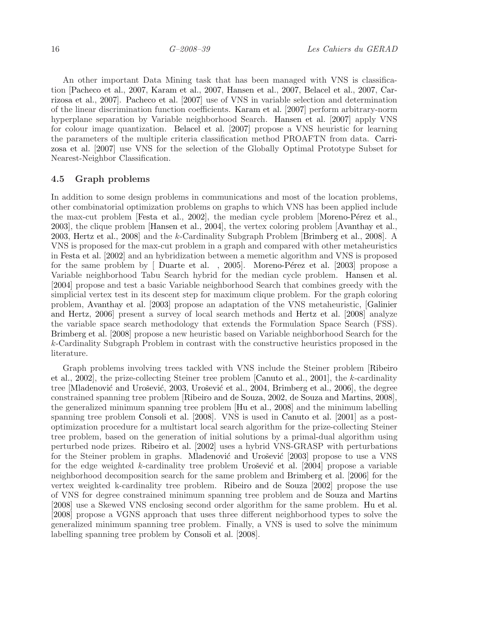An other important Data Mining task that has been managed with VNS is classification [\[Pacheco et al.](#page-39-10), [2007,](#page-39-10) [Karam et al.,](#page-37-3) [2007](#page-37-3), [Hansen et al.,](#page-36-11) [2007](#page-36-11), [Belacel et al.](#page-31-5), [2007,](#page-31-5) Carrizosa et al., [2007](#page-33-9)]. [Pacheco et al.](#page-39-10) [\[2007\]](#page-39-10) use of VNS in variable selection and determination of the linear discrimination function coefficients. [Karam et al.](#page-37-3) [\[2007\]](#page-37-3) perform arbitrary-norm hyperplane separation by Variable neighborhood Search. [Hansen et al.](#page-36-11) [\[2007](#page-36-11)] apply VNS for colour image quantization. [Belacel et al.](#page-31-5) [\[2007\]](#page-31-5) propose a VNS heuristic for learning the para[meters of the multiple criteria classification method PROAFTN from data.](#page-33-9) Carrizosa et al. [\[2007](#page-33-9)] use VNS for the selection of the Globally Optimal Prototype Subset for Nearest-Neighbor Classification.

#### 4.5 Graph problems

In addition to some design problems in communications and most of the location problems, other combinatorial optimization problems on graphs to which VNS has been applied include the max-cut problem [\[Festa et al.,](#page-34-9) [2002](#page-34-9)], the median cycle problem [Moreno-Pérez et al., [2003\]](#page-39-7), the clique problem [\[Hansen et al.](#page-36-12), [2004](#page-36-12)], the vertex coloring problem [\[Avanthay et al.,](#page-31-6) [2003,](#page-31-6) [Hertz et al.,](#page-37-0) [2008](#page-37-0)] and the k-Cardinality Subgraph Problem [\[Brimberg et al.](#page-32-12), [2008\]](#page-32-12). A VNS is proposed for the max-cut problem in a graph and compared with other metaheuristics in [Festa et al.](#page-34-9) [\[2002\]](#page-34-9) and an hybridization between a memetic algorithm and VNS is proposed for the same problem by  $\lceil$  [Duarte et al.](#page-34-10), [2005](#page-34-10). Moreno-Pérez et al.  $\lceil 2003 \rceil$  propose a Variable neighborhood Tabu Search hybrid for the median cycle problem. [Hansen et al.](#page-36-12) [\[2004\]](#page-36-12) propose and test a basic Variable neighborhood Search that combines greedy with the simplicial vertex test in its descent step for maximum clique problem. For the graph coloring problem, [Avanthay et al.](#page-31-6) [\[2003\]](#page-31-6) propose an adaptation of the VNS metaheuristic, [Galinier and Hertz, [2006](#page-35-8)] present a survey of local search methods and [Hertz et al.](#page-37-0) [\[2008\]](#page-37-0) analyze the variable space search methodology that extends the Formulation Space Search (FSS). [Brimberg et al.](#page-32-12) [\[2008\]](#page-32-12) propose a new heuristic based on Variable neighborhood Search for the k-Cardinality Subgraph Problem in contrast with the constructive heuristics proposed in the literature.

G[raph problems involving trees tackled with VNS include the](#page-40-2) Steiner problem [Ribeiro et al., [2002\]](#page-40-2), the prize-collecting Steiner tree problem [\[Canuto et al.](#page-33-2), [2001\]](#page-33-2), the k-cardinality tree [Mladenović and Urošević, [2003,](#page-38-9) Urošević et al., [2004,](#page-41-5) [Brimberg et al.,](#page-32-13) [2006](#page-32-13)], the degree constrained spanning tree problem [\[Ribeiro and de Souza,](#page-40-1) [2002](#page-40-1), [de Souza and Martins,](#page-34-11) [2008\]](#page-34-11), the generalized minimum spanning tree problem [\[Hu et al.](#page-37-4), [2008\]](#page-37-4) and the minimum labelling spanning tree problem [Consoli et al.](#page-33-10) [\[2008\]](#page-33-10). VNS is used in [Canuto et al.](#page-33-2) [\[2001](#page-33-2)] as a postoptimization procedure for a multistart local search algorithm for the prize-collecting Steiner tree problem, based on the generation of initial solutions by a primal-dual algorithm using perturbed node prizes. [Ribeiro et al.](#page-40-2) [\[2002\]](#page-40-2) uses a hybrid VNS-GRASP with perturbations for the Steiner problem in graphs. Mladenović and Urošević [\[2003](#page-38-9)] propose to use a VNS for the edge weighted  $k$ -cardinality tree problem Urošević et al. [\[2004](#page-41-5)] propose a variable neighborhood decomposition search for the same problem and [Brimberg et al.](#page-32-13) [\[2006\]](#page-32-13) for the vertex weighted k-cardinality tree problem. [Ribeiro and de Souza](#page-40-1) [\[2002\]](#page-40-1) propose the use of VNS for degree constrained minimum spanning tree problem and [de Souza and Martins](#page-34-11) [\[2008\]](#page-34-11) use a Skewed VNS enclosing second order algorithm for the same problem. [Hu et al.](#page-37-4) [\[2008\]](#page-37-4) propose a VGNS approach that uses three different neighborhood types to solve the generalized minimum spanning tree problem. Finally, a VNS is used to solve the minimum labelling spanning tree problem by [Consoli et al.](#page-33-10) [\[2008\]](#page-33-10).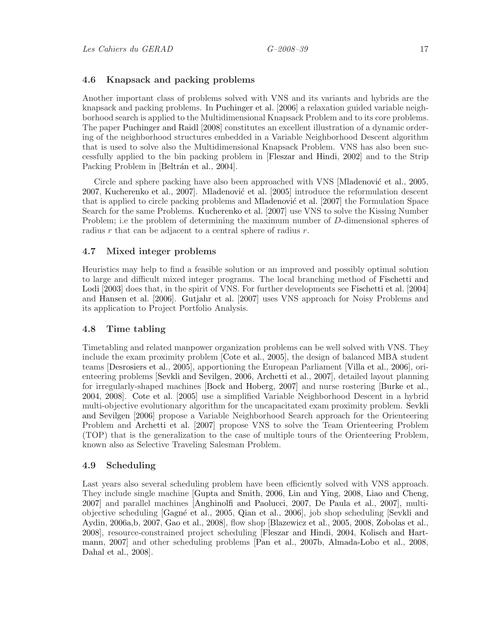## 4.6 Knapsack and packing problems

Another important class of problems solved with VNS and its variants and hybrids are the knapsack and packing problems. In [Puchinger et al.](#page-40-6) [\[2006](#page-40-6)] a relaxation guided variable neighborhood search is applied to the Multidimensional Knapsack Problem and to its core problems. The paper [Puchinger and Raidl](#page-40-7) [\[2008\]](#page-40-7) constitutes an excellent illustration of a dynamic ordering of the neighborhood structures embedded in a Variable Neighborhood Descent algorithm that is used to solve also the Multidimensional Knapsack Problem. VNS has also been successfully applied to the bin packing problem in [\[Fleszar and Hindi](#page-34-12), [2002](#page-34-12)] and to the Strip Packing Problem in [Beltrán et al., [2004](#page-32-14)].

Circle and sphere packing have also been approached with VNS [Mladenović et al., [2005,](#page-39-3) [2007,](#page-39-11) [Kucherenko et al.,](#page-37-5) [2007](#page-37-5). Mladenović et al.  $[2005]$  $[2005]$  introduce the reformulation descent that is applied to circle packing problems and Mladenović et al.  $[2007]$  $[2007]$  the Formulation Space Search for the same Problems. [Kucherenko et al.](#page-37-5) [\[2007](#page-37-5)] use VNS to solve the Kissing Number Problem; i.e the problem of determining the maximum number of D-dimensional spheres of radius r that can be adjacent to a central sphere of radius r.

### 4.7 Mixed integer problems

Heuristics may help to find a feasible solution or an improved and possibly optimal solution to l[arge and difficult mixed integer programs. The local branching method of](#page-34-13) Fischetti and Lodi [\[2003](#page-34-13)] does that, in the spirit of VNS. For further developments see [Fischetti et al.](#page-34-14) [\[2004\]](#page-34-14) and [Hansen et al.](#page-36-5) [\[2006](#page-36-5)]. [Gutjahr et al.](#page-35-9) [\[2007](#page-35-9)] uses VNS approach for Noisy Problems and its application to Project Portfolio Analysis.

#### 4.8 Time tabling

Timetabling and related manpower organization problems can be well solved with VNS. They include the exam proximity problem [\[Cote et al.](#page-33-11), [2005\]](#page-33-11), the design of balanced MBA student teams [\[Desrosiers et al.](#page-34-15), [2005\]](#page-34-15), apportioning the European Parliament [\[Villa et al.,](#page-41-6) [2006\]](#page-41-6), orienteering problems [\[Sevkli and Sevilgen,](#page-41-7) [2006,](#page-41-7) [Archetti et al.](#page-31-7), [2007](#page-31-7)], detailed layout planning for irregularly-shaped machines [\[Bock and Hoberg](#page-32-15), [2007\]](#page-32-15) and nurse rostering [\[Burke et al.,](#page-32-16) [2004,](#page-32-16) [2008\]](#page-33-12). [Cote et al.](#page-33-11) [\[2005](#page-33-11)] use a simplified Variable Neighborhood Descent in a hybrid multi-objecti[ve evolutionary algorithm for the uncapacitated exam proximity problem.](#page-41-7) Sevkli and Sevilgen [\[2006\]](#page-41-7) propose a Variable Neighborhood Search approach for the Orienteering Problem and [Archetti et al.](#page-31-7) [\[2007\]](#page-31-7) propose VNS to solve the Team Orienteering Problem (TOP) that is the generalization to the case of multiple tours of the Orienteering Problem, known also as Selective Traveling Salesman Problem.

#### 4.9 Scheduling

Last years also several scheduling problem have been efficiently solved with VNS approach. They include single machine [\[Gupta and Smith](#page-35-10), [2006,](#page-35-10) [Lin and Ying,](#page-38-10) [2008](#page-38-10), [Liao and Cheng,](#page-38-11) [2007\]](#page-38-11) and parallel machines [\[Anghinolfi and Paolucci](#page-30-3), [2007,](#page-30-3) [De Paula et al.](#page-34-16), [2007\]](#page-34-16), multiobjec[tive scheduling](#page-41-8) [\[Gagn´e et al.,](#page-35-11) [2005,](#page-35-11) [Qian et al.,](#page-40-8) [2006](#page-40-8)], job shop scheduling [Sevkli and Aydin, [2006a](#page-41-8)[,b](#page-41-9), [2007](#page-41-10), [Gao et al.](#page-35-12), [2008\]](#page-35-12), flow shop [\[Blazewicz et al.,](#page-32-17) [2005,](#page-32-17) [2008,](#page-32-18) [Zobolas et al.,](#page-41-11) [2008\]](#page-41-11)[, resource-constrained project scheduling](#page-37-6) [\[Fleszar and Hindi](#page-34-1)[,](#page-37-6) [2004](#page-34-1), Kolisch and Hartmann, [2007](#page-37-6)] and other scheduling problems [\[Pan et al.](#page-39-12), [2007b,](#page-39-12) [Almada-Lobo et al.](#page-30-4), [2008,](#page-30-4) [Dahal et al.](#page-33-13), [2008](#page-33-13)].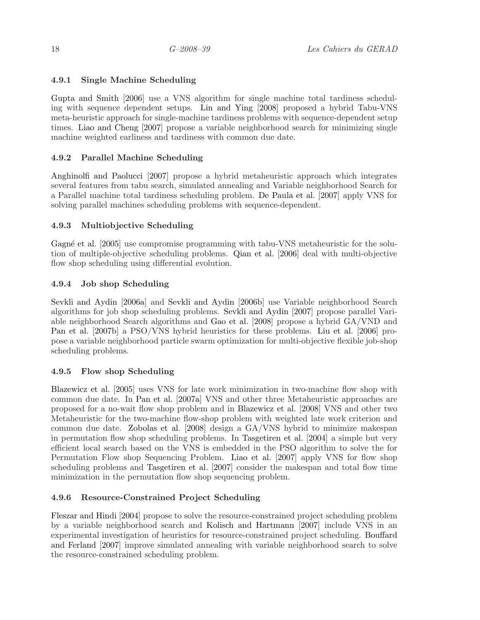## 4.9.1 Single Machine Scheduling

Gupta and Smith [\[2006](#page-35-10)] use a VNS algorithm for single machine total tardiness scheduling with sequence dependent setups. [Lin and Ying](#page-38-10) [\[2008\]](#page-38-10) proposed a hybrid Tabu-VNS meta-heuristic approach for single-machine tardiness problems with sequence-dependent setup times. [Liao and Cheng](#page-38-11) [\[2007](#page-38-11)] propose a variable neighborhood search for minimizing single machine weighted earliness and tardiness with common due date.

## 4.9.2 Parallel Machine Scheduling

Anghinolfi and Paolucci [\[2007](#page-30-3)] propose a hybrid metaheuristic approach which integrates several features from tabu search, simulated annealing and Variable neighborhood Search for a Parallel machine total tardiness scheduling problem. [De Paula et al.](#page-34-16) [\[2007\]](#page-34-16) apply VNS for solving parallel machines scheduling problems with sequence-dependent.

## 4.9.3 Multiobjective Scheduling

Gagné et al. [\[2005\]](#page-35-11) use compromise programming with tabu-VNS metaheuristic for the solution of multiple-objective scheduling problems. [Qian et al.](#page-40-8) [\[2006\]](#page-40-8) deal with multi-objective flow shop scheduling using differential evolution.

## 4.9.4 Job shop Scheduling

Sevkli and Aydin [\[2006a](#page-41-8)] and [Sevkli and Aydin](#page-41-9) [\[2006b](#page-41-9)] use Variable neighborhood Search algorithms for job shop scheduling problems. [Sevkli and Aydin](#page-41-10) [\[2007\]](#page-41-10) propose parallel Variable neighborhood Search algorithms and [Gao et al.](#page-35-12) [\[2008\]](#page-35-12) propose a hybrid GA/VND and [Pan et al.](#page-39-12) [\[2007b\]](#page-39-12) a PSO/VNS hybrid heuristics for these problems. [Liu et al.](#page-38-12) [\[2006\]](#page-38-12) propose a variable neighborhood particle swarm optimization for multi-objective flexible job-shop scheduling problems.

## 4.9.5 Flow shop Scheduling

Blazewicz et al. [\[2005](#page-32-17)] uses VNS for late work minimization in two-machine flow shop with common due date. In [Pan et al.](#page-39-13) [\[2007a\]](#page-39-13) VNS and other three Metaheuristic approaches are proposed for a no-wait flow shop problem and in [Blazewicz et al.](#page-32-18) [\[2008](#page-32-18)] VNS and other two Metaheuristic for the two-machine flow-shop problem with weighted late work criterion and common due date. [Zobolas et al.](#page-41-11) [\[2008\]](#page-41-11) design a GA/VNS hybrid to minimize makespan in permutation flow shop scheduling problems. In [Tasgetiren et al.](#page-41-12) [\[2004](#page-41-12)] a simple but very efficient local search based on the VNS is embedded in the PSO algorithm to solve the for Permutation Flow shop Sequencing Problem. [Liao et al.](#page-38-13) [\[2007\]](#page-38-13) apply VNS for flow shop scheduling problems and [Tasgetiren et al.](#page-41-13) [\[2007](#page-41-13)] consider the makespan and total flow time minimization in the permutation flow shop sequencing problem.

## 4.9.6 Resource-Constrained Project Scheduling

Fleszar and Hindi [\[2004](#page-34-1)] propose to solve the resource-constrained project scheduling problem by a variable neighborhood search and [Kolisch and Hartmann](#page-37-6) [\[2007](#page-37-6)] include VNS in an experiment[al investigation of heuristics for resource-constrained project scheduling.](#page-32-19) Bouffard and Ferland [\[2007\]](#page-32-19) improve simulated annealing with variable neighborhood search to solve the resource-constrained scheduling problem.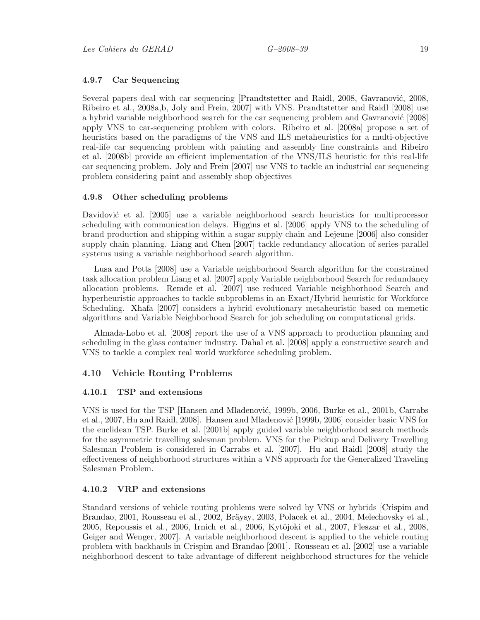### 4.9.7 Car Sequencing

Several papers deal with car sequencing [\[Prandtstetter and Raidl](#page-40-9), [2008,](#page-35-13) Gavranović, 2008, [Ribeiro et al.,](#page-40-10) [2008a](#page-40-10)[,b,](#page-40-11) [Joly and Frein](#page-37-7), [2007\]](#page-37-7) with VNS. [Prandtstetter and Raidl](#page-40-9) [\[2008](#page-40-9)] use a hybrid variable neighborhood search for the car sequencing problem and Gavranović [\[2008\]](#page-35-13) apply VNS to car-sequencing problem with colors. [Ribeiro et al.](#page-40-10) [\[2008a](#page-40-10)] propose a set of heuristics based on the paradigms of the VNS and ILS metaheuristics for a multi-objective real-l[ife car sequencing problem with painting and assembly line constraints and](#page-40-11) Ribeiro et al. [\[2008b\]](#page-40-11) provide an efficient implementation of the VNS/ILS heuristic for this real-life car sequencing problem. [Joly and Frein](#page-37-7) [\[2007\]](#page-37-7) use VNS to tackle an industrial car sequencing problem considering paint and assembly shop objectives

#### 4.9.8 Other scheduling problems

Davidović et al. [\[2005\]](#page-34-17) use a variable neighborhood search heuristics for multiprocessor scheduling with communication delays. [Higgins et al.](#page-37-8) [\[2006](#page-37-8)] apply VNS to the scheduling of brand production and shipping within a sugar supply chain and [Lejeune](#page-38-14) [\[2006](#page-38-14)] also consider supply chain planning. [Liang and Chen](#page-38-15) [\[2007](#page-38-15)] tackle redundancy allocation of series-parallel systems using a variable neighborhood search algorithm.

Lusa and Potts [\[2008](#page-38-16)] use a Variable neighborhood Search algorithm for the constrained task allocation problem [Liang et al.](#page-38-17) [\[2007\]](#page-38-17) apply Variable neighborhood Search for redundancy allocation problems. [Remde et al.](#page-40-12) [\[2007](#page-40-12)] use reduced Variable neighborhood Search and hyperheuristic approaches to tackle subproblems in an Exact/Hybrid heuristic for Workforce Scheduling. [Xhafa](#page-41-14) [\[2007\]](#page-41-14) considers a hybrid evolutionary metaheuristic based on memetic algorithms and Variable Neighborhood Search for job scheduling on computational grids.

Almada-Lobo et al. [\[2008\]](#page-30-4) report the use of a VNS approach to production planning and scheduling in the glass container industry. [Dahal et al.](#page-33-13) [\[2008\]](#page-33-13) apply a constructive search and VNS to tackle a complex real world workforce scheduling problem.

## 4.10 Vehicle Routing Problems

#### 4.10.1 TSP and extensions

VNS [is used for the TSP](#page-33-14) [Hansen and Mladenović[,](#page-33-14) [1999b](#page-36-13), [2006,](#page-36-14) [Burke et al.](#page-32-20), [2001b,](#page-32-20) Carrabs et al., [2007,](#page-33-14) [Hu and Raidl](#page-37-9), [2008](#page-37-9). Hansen and Mladenović [\[1999b,](#page-36-13) [2006\]](#page-36-14) consider basic VNS for the euclidean TSP. [Burke et al.](#page-32-20) [\[2001b\]](#page-32-20) apply guided variable neighborhood search methods for the asymmetric travelling salesman problem. VNS for the Pickup and Delivery Travelling Salesman Problem is considered in [Carrabs et al.](#page-33-14) [\[2007](#page-33-14)]. [Hu and Raidl](#page-37-9) [\[2008\]](#page-37-9) study the effectiveness of neighborhood structures within a VNS approach for the Generalized Traveling Salesman Problem.

## 4.10.2 VRP and extensions

Standar[d versions of vehicle routing problems were solved by VNS or hybrids \[](#page-33-15)Crispim and Brandao, [2001,](#page-33-15) [Rousseau et al.,](#page-40-13) [2002](#page-40-13), Bräysy, [2003,](#page-32-21) [Polacek et al.,](#page-40-14) [2004](#page-40-14), [Melechovsky et al.,](#page-38-18) [2005,](#page-38-18) [Repoussis et al.,](#page-40-15) [2006,](#page-37-10) [Irnich et al.](#page-37-10), 2006, Kytöjoki et al., [2007](#page-37-11), [Fleszar et al.](#page-35-14), [2008,](#page-35-14) [Geiger and Wenger](#page-35-15), [2007\]](#page-35-15). A variable neighborhood descent is applied to the vehicle routing problem with backhauls in [Crispim and Brandao](#page-33-15) [\[2001\]](#page-33-15). [Rousseau et al.](#page-40-13) [\[2002\]](#page-40-13) use a variable neighborhood descent to take advantage of different neighborhood structures for the vehicle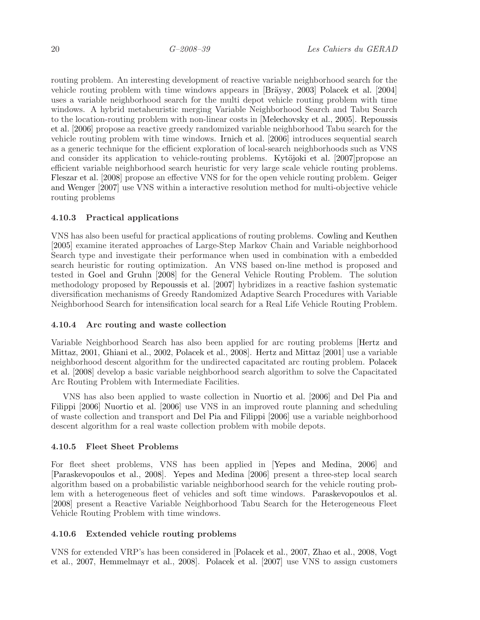routing problem. An interesting development of reactive variable neighborhood search for the vehicle routing problem with time windows appears in [Bräysy, [2003\]](#page-32-21) [Polacek et al.](#page-40-14) [\[2004\]](#page-40-14) uses a variable neighborhood search for the multi depot vehicle routing problem with time windows. A hybrid metaheuristic merging Variable Neighborhood Search and Tabu Search to th[e location-routing problem with non-linear costs in](#page-40-15) [\[Melechovsky et al.](#page-38-18)[,](#page-40-15) [2005](#page-38-18)]. Repoussis et al. [\[2006](#page-40-15)] propose aa reactive greedy randomized variable neighborhood Tabu search for the vehicle routing problem with time windows. [Irnich et al.](#page-37-10) [\[2006](#page-37-10)] introduces sequential search as a generic technique for the efficient exploration of local-search neighborhoods such as VNS and consider its application to vehicle-routing problems. Kytöjoki et al. [\[2007\]](#page-37-11) propose an efficient variable neighborhood search heuristic for very large scale vehicle routing problems. [Fleszar et al.](#page-35-14) [\[2008](#page-35-14)[\] propose an effective VNS for for the open vehicle routing problem.](#page-35-15) Geiger and Wenger [\[2007](#page-35-15)] use VNS within a interactive resolution method for multi-objective vehicle routing problems

### 4.10.3 Practical applications

VNS has also been useful for practical applications of routing problems. [Cowling and Keuthen](#page-33-16) [\[2005\]](#page-33-16) examine iterated approaches of Large-Step Markov Chain and Variable neighborhood Search type and investigate their performance when used in combination with a embedded search heuristic for routing optimization. An VNS based on-line method is proposed and tested in [Goel and Gruhn](#page-35-16) [\[2008\]](#page-35-16) for the General Vehicle Routing Problem. The solution methodology proposed by [Repoussis et al.](#page-40-16) [\[2007\]](#page-40-16) hybridizes in a reactive fashion systematic diversification mechanisms of Greedy Randomized Adaptive Search Procedures with Variable Neighborhood Search for intensification local search for a Real Life Vehicle Routing Problem.

#### 4.10.4 Arc routing and waste collection

Variab[le Neighborhood Search has also been applied for arc routing problems \[](#page-37-12)Hertz and Mittaz, [2001,](#page-37-12) [Ghiani et al.](#page-35-17), [2002,](#page-35-17) [Polacek et al.,](#page-40-17) [2008\]](#page-40-17). [Hertz and Mittaz](#page-37-12) [\[2001](#page-37-12)] use a variable neig[hborhood descent algorithm for the undirected capacitated arc routing problem.](#page-40-17) Polacek et al. [\[2008](#page-40-17)] develop a basic variable neighborhood search algorithm to solve the Capacitated Arc Routing Problem with Intermediate Facilities.

V[NS has also been applied to waste collection in](#page-34-18) [Nuortio et al.](#page-39-14) [\[2006\]](#page-39-14) and Del Pia and Filippi [\[2006\]](#page-34-18) [Nuortio et al.](#page-39-14) [\[2006](#page-39-14)] use VNS in an improved route planning and scheduling of waste collection and transport and [Del Pia and Filippi](#page-34-18) [\[2006\]](#page-34-18) use a variable neighborhood descent algorithm for a real waste collection problem with mobile depots.

#### 4.10.5 Fleet Sheet Problems

For fleet sheet problems, VNS has been applied in [\[Yepes and Medina,](#page-41-15) [2006](#page-41-15)] and [\[Paraskevopoulos et al.,](#page-39-15) [2008](#page-39-15)]. [Yepes and Medina](#page-41-15) [\[2006\]](#page-41-15) present a three-step local search algorithm based on a probabilistic variable neighborhood search for the vehicle routing problem with a heterogeneous fleet of vehicles and soft time windows. [Paraskevopoulos et al.](#page-39-15) [\[2008\]](#page-39-15) present a Reactive Variable Neighborhood Tabu Search for the Heterogeneous Fleet Vehicle Routing Problem with time windows.

#### 4.10.6 Extended vehicle routing problems

VNS [for extended VRP's has been considered in](#page-41-17) [\[Polacek et al.](#page-40-18)[,](#page-41-17) [2007,](#page-40-18) [Zhao et al.,](#page-41-16) [2008](#page-41-16), Vogt et al., [2007](#page-41-17), [Hemmelmayr et al.,](#page-37-13) [2008](#page-37-13)]. [Polacek et al.](#page-40-18) [\[2007\]](#page-40-18) use VNS to assign customers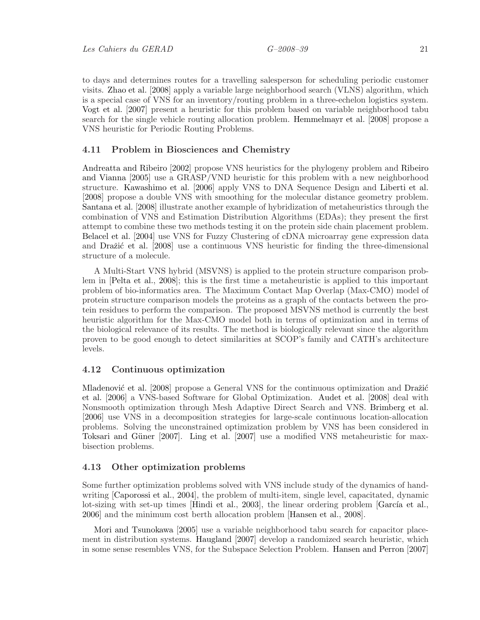Les Cahiers du GERAD G–2008–39 21

to days and determines routes for a travelling salesperson for scheduling periodic customer visits. [Zhao et al.](#page-41-16) [\[2008](#page-41-16)] apply a variable large neighborhood search (VLNS) algorithm, which is a special case of VNS for an inventory/routing problem in a three-echelon logistics system. [Vogt et al.](#page-41-17) [\[2007](#page-41-17)] present a heuristic for this problem based on variable neighborhood tabu search for the single vehicle routing allocation problem. [Hemmelmayr et al.](#page-37-13) [\[2008](#page-37-13)] propose a VNS heuristic for Periodic Routing Problems.

## 4.11 Problem in Biosciences and Chemistry

Andreatta and Ribeiro [\[2002](#page-30-0)[\] propose VNS heuristics for the phylogeny problem and](#page-40-19) Ribeiro and Vianna [\[2005](#page-40-19)] use a GRASP/VND heuristic for this problem with a new neighborhood structure. [Kawashimo et al.](#page-37-14) [\[2006\]](#page-37-14) apply VNS to DNA Sequence Design and [Liberti et al.](#page-38-19) [\[2008\]](#page-38-19) propose a double VNS with smoothing for the molecular distance geometry problem. [Santana et al.](#page-40-20) [\[2008](#page-40-20)] illustrate another example of hybridization of metaheuristics through the combination of VNS and Estimation Distribution Algorithms (EDAs); they present the first attempt to combine these two methods testing it on the protein side chain placement problem. [Belacel et al.](#page-31-4) [\[2004\]](#page-31-4) use VNS for Fuzzy Clustering of cDNA microarray gene expression data and Dražić et al. [\[2008\]](#page-34-19) use a continuous VNS heuristic for finding the three-dimensional structure of a molecule.

A Multi-Start VNS hybrid (MSVNS) is applied to the protein structure comparison problem in [\[Pelta et al.,](#page-39-16) [2008](#page-39-16)]; this is the first time a metaheuristic is applied to this important problem of bio-informatics area. The Maximum Contact Map Overlap (Max-CMO) model of protein structure comparison models the proteins as a graph of the contacts between the protein residues to perform the comparison. The proposed MSVNS method is currently the best heuristic algorithm for the Max-CMO model both in terms of optimization and in terms of the biological relevance of its results. The method is biologically relevant since the algorithm proven to be good enough to detect similarities at SCOP's family and CATH's architecture levels.

#### 4.12 Continuous optimization

Mladenović et al. [\[2008](#page-39-17)[\] propose a General VNS for the continuous optimization and](#page-34-20) Dražić et al. [\[2006](#page-34-20)] a VNS-based Software for Global Optimization. [Audet et al.](#page-31-8) [\[2008](#page-31-8)] deal with Nonsmooth optimization through Mesh Adaptive Direct Search and VNS. [Brimberg et al.](#page-32-5) [\[2006\]](#page-32-5) use VNS in a decomposition strategies for large-scale continuous location-allocation problems. Solving the unconstrained optimization problem by VNS has been considered in Toksari and Güner [\[2007](#page-41-18)]. [Ling et al.](#page-38-20) [\[2007\]](#page-38-20) use a modified VNS metaheuristic for maxbisection problems.

#### 4.13 Other optimization problems

Some further optimization problems solved with VNS include study of the dynamics of handwriting [\[Caporossi et al.](#page-33-17), [2004\]](#page-33-17), the problem of multi-item, single level, capacitated, dynamic lot-sizing with set-up times [\[Hindi et al.,](#page-37-15) [2003](#page-37-15)], the linear ordering problem  $[García et al.,]$ [2006\]](#page-35-18) and the minimum cost berth allocation problem [\[Hansen et al.](#page-37-16), [2008\]](#page-37-16).

Mori and Tsunokawa [\[2005\]](#page-39-18) use a variable neighborhood tabu search for capacitor placement in distribution systems. [Haugland](#page-37-17) [\[2007](#page-37-17)] develop a randomized search heuristic, which in some sense resembles VNS, for the Subspace Selection Problem. [Hansen and Perron](#page-36-10) [\[2007\]](#page-36-10)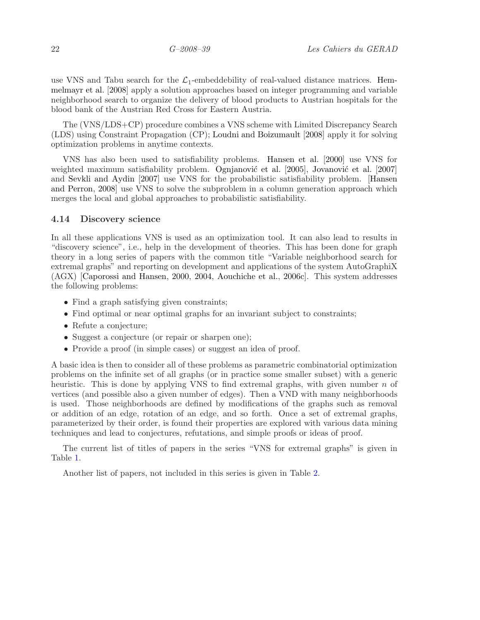use VNS and Tabu search for the  $\mathcal{L}_1$ [-embeddebility of real-valued distance matrices.](#page-37-18) Hemmelmayr et al. [\[2008](#page-37-18)] apply a solution approaches based on integer programming and variable neighborhood search to organize the delivery of blood products to Austrian hospitals for the blood bank of the Austrian Red Cross for Eastern Austria.

The (VNS/LDS+CP) procedure combines a VNS scheme with Limited Discrepancy Search (LDS) using Constraint Propagation (CP); [Loudni and Boizumault](#page-38-21) [\[2008](#page-38-21)] apply it for solving optimization problems in anytime contexts.

VNS has also been used to satisfiability problems. [Hansen et al.](#page-36-6) [\[2000](#page-36-6)] use VNS for weighted maximum satisfiability problem. Ognjanović et al. [\[2005\]](#page-39-19), Jovanović et al. [\[2007\]](#page-37-19) and [Sevkli and Aydin](#page-41-10) [\[2007](#page-41-10)[\] use VNS for the probabilistic satisfiability problem. \[](#page-37-20)Hansen and Perron, [2008\]](#page-37-20) use VNS to solve the subproblem in a column generation approach which merges the local and global approaches to probabilistic satisfiability.

#### 4.14 Discovery science

In all these applications VNS is used as an optimization tool. It can also lead to results in "discovery science", i.e., help in the development of theories. This has been done for graph theory in a long series of papers with the common title "Variable neighborhood search for extremal graphs" and reporting on development and applications of the system AutoGraphiX (AGX) [\[Caporossi and Hansen](#page-33-3), [2000](#page-33-3), [2004,](#page-33-4) [Aouchiche et al.,](#page-31-9) [2006c](#page-31-9)]. This system addresses the following problems:

- Find a graph satisfying given constraints;
- Find optimal or near optimal graphs for an invariant subject to constraints;
- Refute a conjecture;
- Suggest a conjecture (or repair or sharpen one);
- Provide a proof (in simple cases) or suggest an idea of proof.

A basic idea is then to consider all of these problems as parametric combinatorial optimization problems on the infinite set of all graphs (or in practice some smaller subset) with a generic heuristic. This is done by applying VNS to find extremal graphs, with given number  $n$  of vertices (and possible also a given number of edges). Then a VND with many neighborhoods is used. Those neighborhoods are defined by modifications of the graphs such as removal or addition of an edge, rotation of an edge, and so forth. Once a set of extremal graphs, parameterized by their order, is found their properties are explored with various data mining techniques and lead to conjectures, refutations, and simple proofs or ideas of proof.

The current list of titles of papers in the series "VNS for extremal graphs" is given in Table [1.](#page-28-0)

Another list of papers, not included in this series is given in Table [2.](#page-28-1)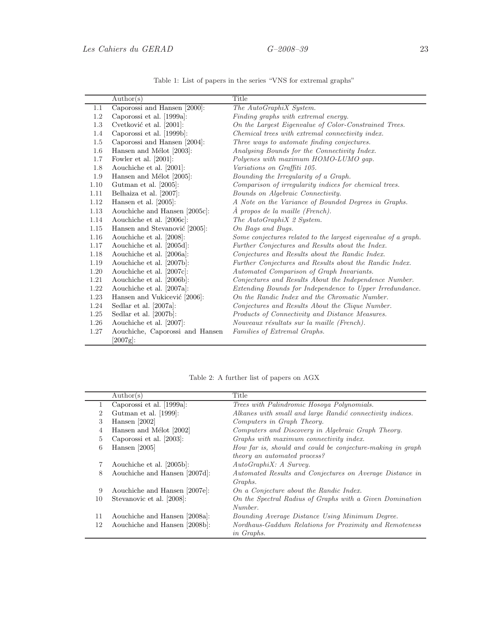<span id="page-28-0"></span>

|         | $\text{Author}(s)$              | Title                                                          |
|---------|---------------------------------|----------------------------------------------------------------|
| 1.1     | Caporossi and Hansen [2000]:    | The AutoGraphiX System.                                        |
| 1.2     | Caporossi et al. [1999a]:       | Finding graphs with extremal energy.                           |
| 1.3     | Cvetković et al. [2001]:        | On the Largest Eigenvalue of Color-Constrained Trees.          |
| 1.4     | Caporossi et al. [1999b]:       | Chemical trees with extremal connectivity index.               |
| $1.5\,$ | Caporossi and Hansen [2004]:    | Three ways to automate finding conjectures.                    |
| $1.6\,$ | Hansen and Mélot [2003]:        | Analysing Bounds for the Connectivity Index.                   |
| 1.7     | Fowler et al. $[2001]$ :        | Polyenes with maximum HOMO-LUMO qap.                           |
| 1.8     | Aouchiche et al. [2001]:        | Variations on Graffiti 105.                                    |
| 1.9     | Hansen and Mélot [2005]:        | Bounding the Irregularity of a Graph.                          |
| 1.10    | Gutman et al. [2005]:           | Comparison of irregularity indices for chemical trees.         |
| 1.11    | Belhaiza et al. [2007]:         | Bounds on Algebraic Connectivity.                              |
| 1.12    | Hansen et al. $[2005]$ :        | A Note on the Variance of Bounded Degrees in Graphs.           |
| 1.13    | Aouchiche and Hansen [2005c]:   | $\dot{A}$ propos de la maille (French).                        |
| 1.14    | Aouchiche et al. [2006c]:       | The AutoGraphiX 2 System.                                      |
| 1.15    | Hansen and Stevanović [2005]:   | On Bags and Bugs.                                              |
| 1.16    | Aouchiche et al. [2008]:        | Some conjectures related to the largest eigenvalue of a graph. |
| 1.17    | Aouchiche et al. [2005d]:       | Further Conjectures and Results about the Index.               |
| 1.18    | Aouchiche et al. [2006a]:       | Conjectures and Results about the Randic Index.                |
| 1.19    | Aouchiche et al. [2007b]:       | Further Conjectures and Results about the Randic Index.        |
| 1.20    | Aouchiche et al. [2007c]:       | Automated Comparison of Graph Invariants.                      |
| 1.21    | Aouchiche et al. [2006b]:       | Conjectures and Results About the Independence Number.         |
| 1.22    | Aouchiche et al. [2007a]:       | Extending Bounds for Independence to Upper Irredundance.       |
| 1.23    | Hansen and Vukicević [2006]:    | On the Randic Index and the Chromatic Number.                  |
| 1.24    | Sedlar et al. $[2007a]$ :       | Conjectures and Results About the Clique Number.               |
| 1.25    | Sedlar et al. [2007b]:          | Products of Connectivity and Distance Measures.                |
| 1.26    | Aouchiche et al. [2007]:        | Nouveaux résultats sur la maille (French).                     |
| 1.27    | Aouchiche, Caporossi and Hansen | Families of Extremal Graphs.                                   |
|         | $[2007g]$ :                     |                                                                |

Table 1: List of papers in the series "VNS for extremal graphs"

Table 2: A further list of papers on AGX

<span id="page-28-1"></span>

|                | $\text{Author}(s)$            | Title                                                      |
|----------------|-------------------------------|------------------------------------------------------------|
|                |                               |                                                            |
| 1              | Caporossi et al. [1999a]:     | Trees with Palindromic Hosoya Polynomials.                 |
| $\overline{2}$ | Gutman et al. [1999]:         | Alkanes with small and large Randić connectivity indices.  |
| 3              | Hansen $[2002]$               | Computers in Graph Theory.                                 |
| 4              | Hansen and Mélot [2002]       | Computers and Discovery in Algebraic Graph Theory.         |
| 5              | Caporossi et al. [2003]:      | Graphs with maximum connectivity index.                    |
| 6              | Hansen $[2005]$               | How far is, should and could be conjecture-making in graph |
|                |                               | theory an automated process?                               |
| 7              | Aouchiche et al. [2005b]:     | AutoGraphiX: A Survey.                                     |
| 8              | Aouchiche and Hansen [2007d]: | Automated Results and Conjectures on Average Distance in   |
|                |                               | Graphs.                                                    |
| 9              | Aouchiche and Hansen [2007e]: | On a Conjecture about the Randic Index.                    |
| 10             | Stevanovic et al. [2008]:     | On the Spectral Radius of Graphs with a Given Domination   |
|                |                               | Number.                                                    |
| 11             | Aouchiche and Hansen [2008a]: | Bounding Average Distance Using Minimum Degree.            |
| 12             | Aouchiche and Hansen [2008b]: | Nordhaus-Gaddum Relations for Proximity and Remoteness     |
|                |                               | in Graphs.                                                 |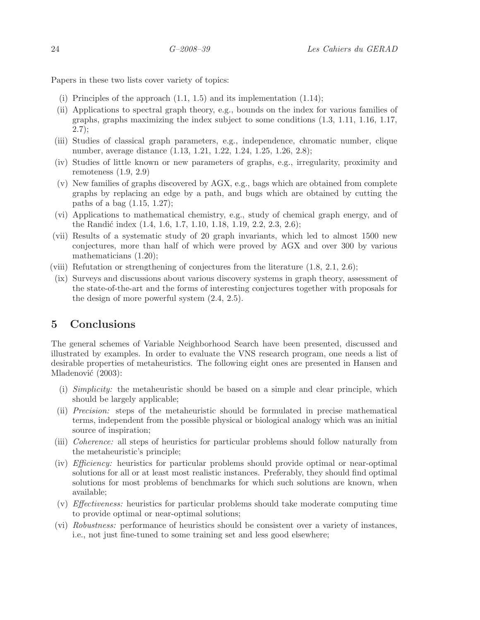Papers in these two lists cover variety of topics:

- (i) Principles of the approach  $(1.1, 1.5)$  and its implementation  $(1.14)$ ;
- (ii) Applications to spectral graph theory, e.g., bounds on the index for various families of graphs, graphs maximizing the index subject to some conditions (1.3, 1.11, 1.16, 1.17,  $(2.7);$
- (iii) Studies of classical graph parameters, e.g., independence, chromatic number, clique number, average distance  $(1.13, 1.21, 1.22, 1.24, 1.25, 1.26, 2.8);$
- (iv) Studies of little known or new parameters of graphs, e.g., irregularity, proximity and remoteness (1.9, 2.9)
- (v) New families of graphs discovered by AGX, e.g., bags which are obtained from complete graphs by replacing an edge by a path, and bugs which are obtained by cutting the paths of a bag (1.15, 1.27);
- (vi) Applications to mathematical chemistry, e.g., study of chemical graph energy, and of the Randić index  $(1.4, 1.6, 1.7, 1.10, 1.18, 1.19, 2.2, 2.3, 2.6);$
- (vii) Results of a systematic study of 20 graph invariants, which led to almost 1500 new conjectures, more than half of which were proved by AGX and over 300 by various mathematicians (1.20);
- (viii) Refutation or strengthening of conjectures from the literature (1.8, 2.1, 2.6);
- (ix) Surveys and discussions about various discovery systems in graph theory, assessment of the state-of-the-art and the forms of interesting conjectures together with proposals for the design of more powerful system (2.4, 2.5).

## 5 Conclusions

The general schemes of Variable Neighborhood Search have been presented, discussed and illustrated by examples. In order to evaluate the VNS research program, one needs a list of desirable properties of metaheuristics. The following eight ones are presented in Hansen and Mladenović (2003):

- (i) Simplicity: the metaheuristic should be based on a simple and clear principle, which should be largely applicable;
- (ii) Precision: steps of the metaheuristic should be formulated in precise mathematical terms, independent from the possible physical or biological analogy which was an initial source of inspiration;
- (iii) Coherence: all steps of heuristics for particular problems should follow naturally from the metaheuristic's principle;
- (iv) Efficiency: heuristics for particular problems should provide optimal or near-optimal solutions for all or at least most realistic instances. Preferably, they should find optimal solutions for most problems of benchmarks for which such solutions are known, when available;
- (v) Effectiveness: heuristics for particular problems should take moderate computing time to provide optimal or near-optimal solutions;
- (vi) Robustness: performance of heuristics should be consistent over a variety of instances, i.e., not just fine-tuned to some training set and less good elsewhere;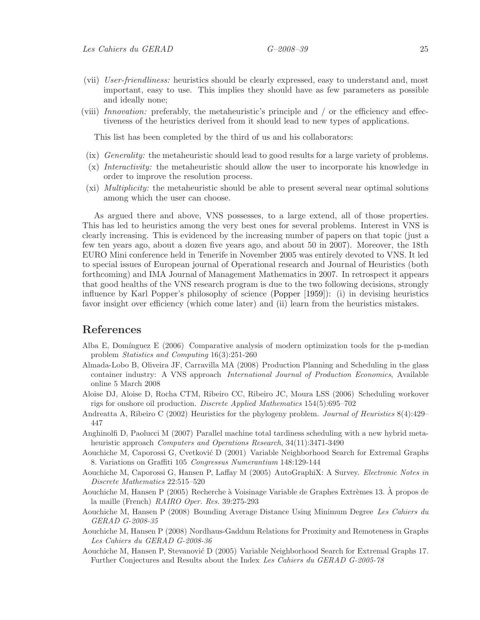- (vii) User-friendliness: heuristics should be clearly expressed, easy to understand and, most important, easy to use. This implies they should have as few parameters as possible and ideally none;
- (viii) Innovation: preferably, the metaheuristic's principle and  $/$  or the efficiency and effectiveness of the heuristics derived from it should lead to new types of applications.

This list has been completed by the third of us and his collaborators:

- (ix) Generality: the metaheuristic should lead to good results for a large variety of problems.
- (x) Interactivity: the metaheuristic should allow the user to incorporate his knowledge in order to improve the resolution process.
- (xi) *Multiplicity:* the metaheuristic should be able to present several near optimal solutions among which the user can choose.

As argued there and above, VNS possesses, to a large extend, all of those properties. This has led to heuristics among the very best ones for several problems. Interest in VNS is clearly increasing. This is evidenced by the increasing number of papers on that topic (just a few ten years ago, about a dozen five years ago, and about 50 in 2007). Moreover, the 18th EURO Mini conference held in Tenerife in November 2005 was entirely devoted to VNS. It led to special issues of European journal of Operational research and Journal of Heuristics (both forthcoming) and IMA Journal of Management Mathematics in 2007. In retrospect it appears that good healths of the VNS research program is due to the two following decisions, strongly influence by Karl Popper's philosophy of science [\(Popper](#page-40-22) [\[1959](#page-40-22)]): (i) in devising heuristics favor insight over efficiency (which come later) and (ii) learn from the heuristics mistakes.

## References

- <span id="page-30-2"></span>Alba E, Domínguez E  $(2006)$  Comparative analysis of modern optimization tools for the p-median problem Statistics and Computing 16(3):251-260
- <span id="page-30-4"></span>Almada-Lobo B, Oliveira JF, Carravilla MA (2008) Production Planning and Scheduling in the glass container industry: A VNS approach International Journal of Production Economics, Available online 5 March 2008
- <span id="page-30-1"></span>Aloise DJ, Aloise D, Rocha CTM, Ribeiro CC, Ribeiro JC, Moura LSS (2006) Scheduling workover rigs for onshore oil production. Discrete Applied Mathematics 154(5):695–702
- <span id="page-30-0"></span>Andreatta A, Ribeiro C (2002) Heuristics for the phylogeny problem. Journal of Heuristics 8(4):429– 447
- <span id="page-30-3"></span>Anghinolfi D, Paolucci M (2007) Parallel machine total tardiness scheduling with a new hybrid metaheuristic approach *Computers and Operations Research*, 34(11):3471-3490
- <span id="page-30-5"></span>Aouchiche M, Caporossi G, Cvetković D (2001) Variable Neighborhood Search for Extremal Graphs 8. Variations on Graffiti 105 Congressus Numerantium 148:129-144
- <span id="page-30-8"></span>Aouchiche M, Caporossi G, Hansen P, Laffay M (2005) AutoGraphiX: A Survey. Electronic Notes in Discrete Mathematics 22:515–520
- <span id="page-30-6"></span>Aouchiche M, Hansen P (2005) Recherche à Voisinage Variable de Graphes Extrèmes 13. À propos de la maille (French) RAIRO Oper. Res. 39:275-293
- <span id="page-30-9"></span>Aouchiche M, Hansen P (2008) Bounding Average Distance Using Minimum Degree Les Cahiers du GERAD G-2008-35
- <span id="page-30-10"></span>Aouchiche M, Hansen P (2008) Nordhaus-Gaddum Relations for Proximity and Remoteness in Graphs Les Cahiers du GERAD G-2008-36
- <span id="page-30-7"></span>Aouchiche M, Hansen P, Stevanović D (2005) Variable Neighborhood Search for Extremal Graphs 17. Further Conjectures and Results about the Index Les Cahiers du GERAD G-2005-78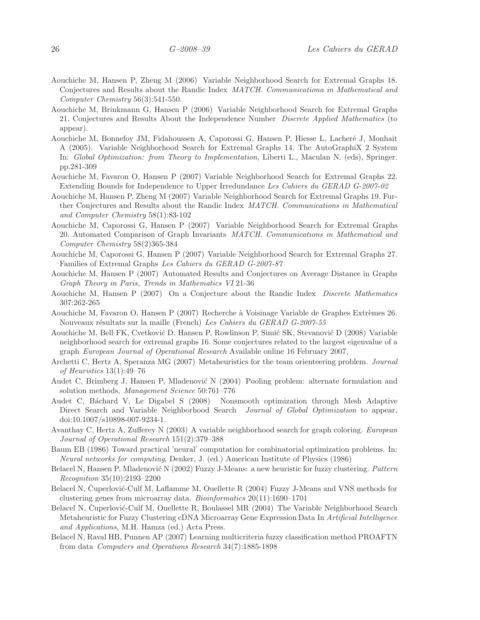- <span id="page-31-11"></span>Aouchiche M, Hansen P, Zheng M (2006) Variable Neighborhood Search for Extremal Graphs 18. Conjectures and Results about the Randic Index MATCH. Communicationa in Mathematical and Computer Chemistry 56(3):541-550.
- <span id="page-31-14"></span>Aouchiche M, Brinkmann G, Hansen P (2006) Variable Neighborhood Search for Extremal Graphs 21. Conjectures and Results About the Independence Number Discrete Applied Mathematics (to appear).
- <span id="page-31-9"></span>Aouchiche M, Bonnefoy JM, Fidahoussen A, Caporossi G, Hansen P, Hiesse L, Lacher´e J, Monhait A (2005). Variable Neighborhood Search for Extremal Graphs 14. The AutoGraphiX 2 System In: Global Optimization: from Theory to Implementation, Liberti L., Maculan N. (eds), Springer. pp.281-309
- <span id="page-31-15"></span>Aouchiche M, Favaron O, Hansen P (2007) Variable Neighborhood Search for Extremal Graphs 22. Extending Bounds for Independence to Upper Irredundance Les Cahiers du GERAD G-2007-02
- <span id="page-31-12"></span>Aouchiche M, Hansen P, Zheng M (2007) Variable Neighborhood Search for Extremal Graphs 19. Further Conjectures and Results about the Randic Index MATCH. Communications in Mathematical and Computer Chemistry 58(1):83-102
- <span id="page-31-13"></span>Aouchiche M, Caporossi G, Hansen P (2007) Variable Neighborhood Search for Extremal Graphs 20. Automated Comparison of Graph Invariants MATCH. Communications in Mathematical and Computer Chemistry 58(2)365-384
- <span id="page-31-17"></span>Aouchiche M, Caporossi G, Hansen P (2007) Variable Neighborhood Search for Extremal Graphs 27. Families of Extremal Graphs Les Cahiers du GERAD G-2007-87
- <span id="page-31-18"></span>Aouchiche M, Hansen P (2007) Automated Results and Conjectures on Average Distance in Graphs Graph Theory in Paris, Trends in Mathematics VI 21-36
- <span id="page-31-19"></span>Aouchiche M, Hansen P (2007) On a Conjecture about the Randic Index Discrete Mathematics 307:262-265
- <span id="page-31-16"></span>Aouchiche M, Favaron O, Hansen P (2007) Recherche à Voisinage Variable de Graphes Extrèmes 26. Nouveaux résultats sur la maille (French) Les Cahiers du GERAD G-2007-55
- <span id="page-31-10"></span>Aouchiche M, Bell FK, Cvetković D, Hansen P, Rowlinson P, Simić SK, Stevanović D (2008) Variable neighborhood search for extremal graphs 16. Some conjectures related to the largest eigenvalue of a graph European Journal of Operational Research Available online 16 February 2007,
- <span id="page-31-7"></span>Archetti C, Hertz A, Speranza MG (2007) Metaheuristics for the team orienteering problem. Journal of Heuristics 13(1):49–76
- <span id="page-31-1"></span>Audet C, Brimberg J, Hansen P, Mladenović N (2004) Pooling problem: alternate formulation and solution methods, Management Science 50:761–776
- <span id="page-31-8"></span>Audet C, B´achard V, Le Digabel S (2008) Nonsmooth optimization through Mesh Adaptive Direct Search and Variable Neighborhood Search *Journal of Global Optimization* to appear, doi:10.1007/s10898-007-9234-1.
- <span id="page-31-6"></span>Avanthay C, Hertz A, Zufferey N (2003) A variable neighborhood search for graph coloring. European Journal of Operational Research 151(2):379–388
- <span id="page-31-0"></span>Baum EB (1986) Toward practical 'neural' computation for combinatorial optimization problems. In: Neural networks for computing, Denker, J. (ed.) American Institute of Physics (1986)
- <span id="page-31-2"></span>Belacel N, Hansen P, Mladenović N (2002) Fuzzy J-Means: a new heuristic for fuzzy clustering. Pattern Recognition 35(10):2193–2200
- <span id="page-31-3"></span>Belacel N, Cuperlović-Culf M, Laflamme M, Ouellette R (2004) Fuzzy J-Means and VNS methods for clustering genes from microarray data. Bioinformatics 20(11):1690–1701
- <span id="page-31-4"></span>Belacel N, Cuperlović-Culf M, Ouellette R, Boulassel MR (2004) The Variable Neighborhood Search Metaheuristic for Fuzzy Clustering cDNA Microarray Gene Expression Data In Artificial Intelligence and Applications, M.H. Hamza (ed.) Acta Press.
- <span id="page-31-5"></span>Belacel N, Raval HB, Punnen AP (2007) Learning multicriteria fuzzy classification method PROAFTN from data Computers and Operations Research 34(7):1885-1898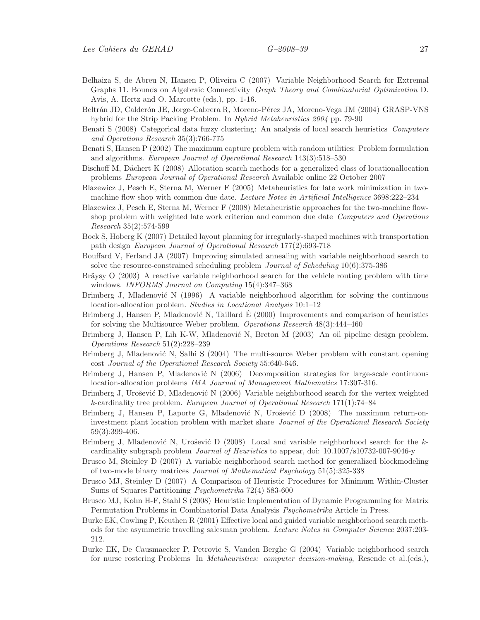- <span id="page-32-22"></span>Belhaiza S, de Abreu N, Hansen P, Oliveira C (2007) Variable Neighborhood Search for Extremal Graphs 11. Bounds on Algebraic Connectivity Graph Theory and Combinatorial Optimization D. Avis, A. Hertz and O. Marcotte (eds.), pp. 1-16.
- <span id="page-32-14"></span>Beltrán JD, Calderón JE, Jorge-Cabrera R, Moreno-Pérez JA, Moreno-Vega JM (2004) GRASP-VNS hybrid for the Strip Packing Problem. In Hybrid Metaheuristics 2004 pp. 79-90
- <span id="page-32-10"></span>Benati S (2008) Categorical data fuzzy clustering: An analysis of local search heuristics Computers and Operations Research 35(3):766-775
- <span id="page-32-3"></span>Benati S, Hansen P (2002) The maximum capture problem with random utilities: Problem formulation and algorithms. European Journal of Operational Research 143(3):518–530
- <span id="page-32-7"></span>Bischoff M, Dächert K (2008) Allocation search methods for a generalized class of locationallocation problems European Journal of Operational Research Available online 22 October 2007
- <span id="page-32-17"></span>Blazewicz J, Pesch E, Sterna M, Werner F (2005) Metaheuristics for late work minimization in twomachine flow shop with common due date. Lecture Notes in Artificial Intelligence 3698:222-234
- <span id="page-32-18"></span>Blazewicz J, Pesch E, Sterna M, Werner F (2008) Metaheuristic approaches for the two-machine flowshop problem with weighted late work criterion and common due date Computers and Operations Research 35(2):574-599
- <span id="page-32-15"></span>Bock S, Hoberg K (2007) Detailed layout planning for irregularly-shaped machines with transportation path design European Journal of Operational Research 177(2):693-718
- <span id="page-32-19"></span>Bouffard V, Ferland JA (2007) Improving simulated annealing with variable neighborhood search to solve the resource-constrained scheduling problem *Journal of Scheduling* 10(6):375-386
- <span id="page-32-21"></span>Bräysy O (2003) A reactive variable neighborhood search for the vehicle routing problem with time windows. INFORMS Journal on Computing 15(4):347-368
- <span id="page-32-2"></span>Brimberg J, Mladenović N (1996) A variable neighborhood algorithm for solving the continuous location-allocation problem. Studies in Locational Analysis 10:1–12
- <span id="page-32-0"></span>Brimberg J, Hansen P, Mladenović N, Taillard  $\acute{E}$  (2000) Improvements and comparison of heuristics for solving the Multisource Weber problem. Operations Research 48(3):444–460
- <span id="page-32-1"></span>Brimberg J, Hansen P, Lih K-W, Mladenović N, Breton M (2003) An oil pipeline design problem. Operations Research 51(2):228–239
- <span id="page-32-4"></span>Brimberg J, Mladenović N, Salhi S (2004) The multi-source Weber problem with constant opening cost Journal of the Operational Research Society 55:640-646.
- <span id="page-32-5"></span>Brimberg J, Hansen P, Mladenović N (2006) Decomposition strategies for large-scale continuous location-allocation problems IMA Journal of Management Mathematics 17:307-316.
- <span id="page-32-13"></span>Brimberg J, Urošević D, Mladenović N (2006) Variable neighborhood search for the vertex weighted k-cardinality tree problem. European Journal of Operational Research 171(1):74–84
- <span id="page-32-6"></span>Brimberg J, Hansen P, Laporte G, Mladenović N, Urošević D (2008) The maximum return-oninvestment plant location problem with market share *Journal of the Operational Research Society* 59(3):399-406.
- <span id="page-32-12"></span>Brimberg J, Mladenović N, Urošević D (2008) Local and variable neighborhood search for the  $k$ cardinality subgraph problem Journal of Heuristics to appear, doi: 10.1007/s10732-007-9046-y
- <span id="page-32-8"></span>Brusco M, Steinley D (2007) A variable neighborhood search method for generalized blockmodeling of two-mode binary matrices Journal of Mathematical Psychology 51(5):325-338
- <span id="page-32-9"></span>Brusco MJ, Steinley D (2007) A Comparison of Heuristic Procedures for Minimum Within-Cluster Sums of Squares Partitioning Psychometrika 72(4) 583-600
- <span id="page-32-11"></span>Brusco MJ, Kohn H-F, Stahl S (2008) Heuristic Implementation of Dynamic Programming for Matrix Permutation Problems in Combinatorial Data Analysis Psychometrika Article in Press.
- <span id="page-32-20"></span>Burke EK, Cowling P, Keuthen R (2001) Effective local and guided variable neighborhood search methods for the asymmetric travelling salesman problem. Lecture Notes in Computer Science 2037:203- 212.
- <span id="page-32-16"></span>Burke EK, De Causmaecker P, Petrovic S, Vanden Berghe G (2004) Variable neighborhood search for nurse rostering Problems In Metaheuristics: computer decision-making, Resende et al.(eds.),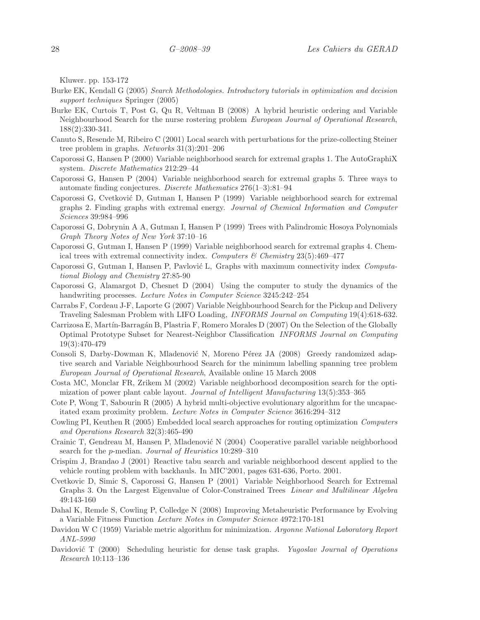Kluwer. pp. 153-172

- <span id="page-33-0"></span>Burke EK, Kendall G (2005) Search Methodologies. Introductory tutorials in optimization and decision support techniques Springer (2005)
- <span id="page-33-12"></span>Burke EK, Curtois T, Post G, Qu R, Veltman B (2008) A hybrid heuristic ordering and Variable Neighbourhood Search for the nurse rostering problem European Journal of Operational Research, 188(2):330-341.
- <span id="page-33-2"></span>Canuto S, Resende M, Ribeiro C (2001) Local search with perturbations for the prize-collecting Steiner tree problem in graphs. Networks 31(3):201–206
- <span id="page-33-3"></span>Caporossi G, Hansen P (2000) Variable neighborhood search for extremal graphs 1. The AutoGraphiX system. Discrete Mathematics 212:29–44
- <span id="page-33-4"></span>Caporossi G, Hansen P (2004) Variable neighborhood search for extremal graphs 5. Three ways to automate finding conjectures. Discrete Mathematics 276(1–3):81–94
- <span id="page-33-5"></span>Caporossi G, Cvetković D, Gutman I, Hansen P (1999) Variable neighborhood search for extremal graphs 2. Finding graphs with extremal energy. Journal of Chemical Information and Computer Sciences 39:984–996
- <span id="page-33-19"></span>Caporossi G, Dobrynin A A, Gutman I, Hansen P (1999) Trees with Palindromic Hosoya Polynomials Graph Theory Notes of New York 37:10–16
- <span id="page-33-6"></span>Caporossi G, Gutman I, Hansen P (1999) Variable neighborhood search for extremal graphs 4. Chemical trees with extremal connectivity index. Computers & Chemistry  $23(5):469-477$
- <span id="page-33-20"></span>Caporossi G, Gutman I, Hansen P, Pavlović L, Graphs with maximum connectivity index Computational Biology and Chemistry 27:85-90
- <span id="page-33-17"></span>Caporossi G, Alamargot D, Chesnet D (2004) Using the computer to study the dynamics of the handwriting processes. Lecture Notes in Computer Science 3245:242-254
- <span id="page-33-14"></span>Carrabs F, Cordeau J-F, Laporte G (2007) Variable Neighbourhood Search for the Pickup and Delivery Traveling Salesman Problem with LIFO Loading, INFORMS Journal on Computing 19(4):618-632.
- <span id="page-33-9"></span>Carrizosa E, Martín-Barragán B, Plastria F, Romero Morales D (2007) On the Selection of the Globally Optimal Prototype Subset for Nearest-Neighbor Classification INFORMS Journal on Computing 19(3):470-479
- <span id="page-33-10"></span>Consoli S, Darby-Dowman K, Mladenović N, Moreno Pérez JA (2008) Greedy randomized adaptive search and Variable Neighbourhood Search for the minimum labelling spanning tree problem European Journal of Operational Research, Available online 15 March 2008
- <span id="page-33-8"></span>Costa MC, Monclar FR, Zrikem M (2002) Variable neighborhood decomposition search for the optimization of power plant cable layout. Journal of Intelligent Manufacturing 13(5):353–365
- <span id="page-33-11"></span>Cote P, Wong T, Sabourin R (2005) A hybrid multi-objective evolutionary algorithm for the uncapacitated exam proximity problem. Lecture Notes in Computer Science 3616:294–312
- <span id="page-33-16"></span>Cowling PI, Keuthen R (2005) Embedded local search approaches for routing optimization Computers and Operations Research 32(3):465-490
- <span id="page-33-7"></span>Crainic T, Gendreau M, Hansen P, Mladenović N (2004) Cooperative parallel variable neighborhood search for the p-median. Journal of Heuristics 10:289–310
- <span id="page-33-15"></span>Crispim J, Brandao J (2001) Reactive tabu search and variable neighborhood descent applied to the vehicle routing problem with backhauls. In MIC'2001, pages 631-636, Porto. 2001.
- <span id="page-33-18"></span>Cvetkovic D, Simic S, Caporossi G, Hansen P (2001) Variable Neighborhood Search for Extremal Graphs 3. On the Largest Eigenvalue of Color-Constrained Trees Linear and Multilinear Algebra 49:143-160
- <span id="page-33-13"></span>Dahal K, Remde S, Cowling P, Colledge N (2008) Improving Metaheuristic Performance by Evolving a Variable Fitness Function Lecture Notes in Computer Science 4972:170-181
- <span id="page-33-1"></span>Davidon W C (1959) Variable metric algorithm for minimization. Argonne National Laboratory Report ANL-5990
- Davidović T (2000) Scheduling heuristic for dense task graphs. *Yugoslav Journal of Operations* Research 10:113–136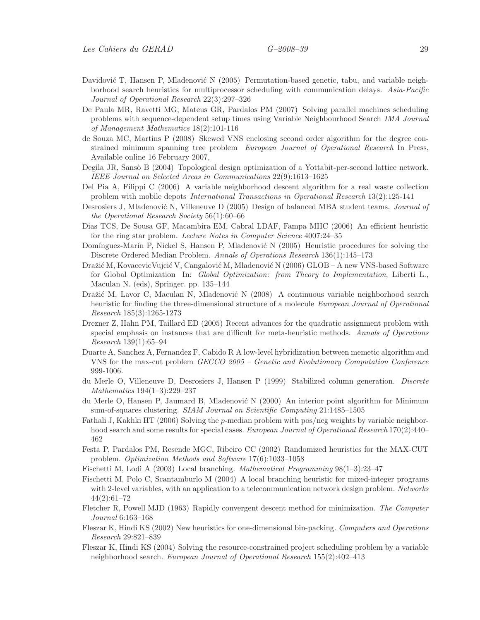- <span id="page-34-17"></span>Davidović T, Hansen P, Mladenović N (2005) Permutation-based genetic, tabu, and variable neighborhood search heuristics for multiprocessor scheduling with communication delays. Asia-Pacific Journal of Operational Research 22(3):297–326
- <span id="page-34-16"></span>De Paula MR, Ravetti MG, Mateus GR, Pardalos PM (2007) Solving parallel machines scheduling problems with sequence-dependent setup times using Variable Neighbourhood Search IMA Journal of Management Mathematics 18(2):101-116
- <span id="page-34-11"></span>de Souza MC, Martins P (2008) Skewed VNS enclosing second order algorithm for the degree constrained minimum spanning tree problem European Journal of Operational Research In Press, Available online 16 February 2007,
- <span id="page-34-2"></span>Degila JR, Sansò B (2004) Topological design optimization of a Yottabit-per-second lattice network. IEEE Journal on Selected Areas in Communications 22(9):1613–1625
- <span id="page-34-18"></span>Del Pia A, Filippi C (2006) A variable neighborhood descent algorithm for a real waste collection problem with mobile depots International Transactions in Operational Research 13(2):125-141
- <span id="page-34-15"></span>Desrosiers J, Mladenović N, Villeneuve D (2005) Design of balanced MBA student teams. Journal of the Operational Research Society 56(1):60–66
- <span id="page-34-3"></span>Dias TCS, De Sousa GF, Macambira EM, Cabral LDAF, Fampa MHC (2006) An efficient heuristic for the ring star problem. Lecture Notes in Computer Science 4007:24–35
- <span id="page-34-4"></span>Domínguez-Marín P, Nickel S, Hansen P, Mladenović N (2005) Heuristic procedures for solving the Discrete Ordered Median Problem. Annals of Operations Research 136(1):145–173
- <span id="page-34-20"></span>Dražić M, Kovacevic Vujcić V, Cangalović M, Mladenović N (2006) GLOB – A new VNS-based Software for Global Optimization In: Global Optimization: from Theory to Implementation, Liberti L., Maculan N. (eds), Springer. pp. 135–144
- <span id="page-34-19"></span>Dražić M, Lavor C, Maculan N, Mladenović N (2008) A continuous variable neighborhood search heuristic for finding the three-dimensional structure of a molecule European Journal of Operational Research 185(3):1265-1273
- <span id="page-34-6"></span>Drezner Z, Hahn PM, Taillard ED (2005) Recent advances for the quadratic assignment problem with special emphasis on instances that are difficult for meta-heuristic methods. Annals of Operations Research 139(1):65–94
- <span id="page-34-10"></span>Duarte A, Sanchez A, Fernandez F, Cabido R A low-level hybridization between memetic algorithm and VNS for the max-cut problem GECCO 2005 – Genetic and Evolutionary Computation Conference 999-1006.
- <span id="page-34-7"></span>du Merle O, Villeneuve D, Desrosiers J, Hansen P (1999) Stabilized column generation. Discrete Mathematics 194(1–3):229–237
- <span id="page-34-8"></span>du Merle O, Hansen P, Jaumard B, Mladenović N (2000) An interior point algorithm for Minimum sum-of-squares clustering. SIAM Journal on Scientific Computing 21:1485–1505
- <span id="page-34-5"></span>Fathali J, Kakhki HT (2006) Solving the p-median problem with pos/neg weights by variable neighborhood search and some results for special cases. European Journal of Operational Research 170(2):440– 462
- <span id="page-34-9"></span>Festa P, Pardalos PM, Resende MGC, Ribeiro CC (2002) Randomized heuristics for the MAX-CUT problem. Optimization Methods and Software 17(6):1033–1058
- <span id="page-34-13"></span>Fischetti M, Lodi A (2003) Local branching. Mathematical Programming 98(1–3):23–47
- <span id="page-34-14"></span>Fischetti M, Polo C, Scantamburlo M (2004) A local branching heuristic for mixed-integer programs with 2-level variables, with an application to a telecommunication network design problem. Networks 44(2):61–72
- <span id="page-34-0"></span>Fletcher R, Powell MJD (1963) Rapidly convergent descent method for minimization. The Computer Journal 6:163–168
- <span id="page-34-12"></span>Fleszar K, Hindi KS (2002) New heuristics for one-dimensional bin-packing. Computers and Operations Research 29:821–839
- <span id="page-34-1"></span>Fleszar K, Hindi KS (2004) Solving the resource-constrained project scheduling problem by a variable neighborhood search. European Journal of Operational Research 155(2):402–413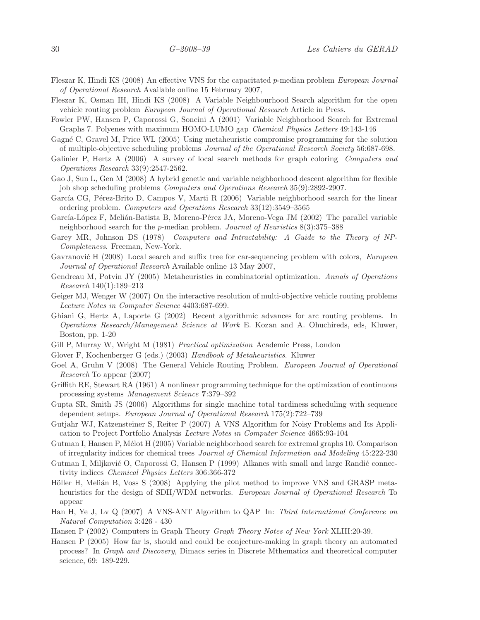- <span id="page-35-6"></span>Fleszar K, Hindi KS (2008) An effective VNS for the capacitated p-median problem European Journal of Operational Research Available online 15 February 2007,
- <span id="page-35-14"></span>Fleszar K, Osman IH, Hindi KS (2008) A Variable Neighbourhood Search algorithm for the open vehicle routing problem European Journal of Operational Research Article in Press.
- <span id="page-35-19"></span>Fowler PW, Hansen P, Caporossi G, Soncini A (2001) Variable Neighborhood Search for Extremal Graphs 7. Polyenes with maximum HOMO-LUMO gap Chemical Physics Letters 49:143-146
- <span id="page-35-11"></span>Gagn´e C, Gravel M, Price WL (2005) Using metaheuristic compromise programming for the solution of multiple-objective scheduling problems Journal of the Operational Research Society 56:687-698.
- <span id="page-35-8"></span>Galinier P, Hertz A (2006) A survey of local search methods for graph coloring Computers and Operations Research 33(9):2547-2562.
- <span id="page-35-12"></span>Gao J, Sun L, Gen M (2008) A hybrid genetic and variable neighborhood descent algorithm for flexible job shop scheduling problems Computers and Operations Research 35(9):2892-2907.
- <span id="page-35-18"></span>García CG, Pérez-Brito D, Campos V, Marti R (2006) Variable neighborhood search for the linear ordering problem. Computers and Operations Research 33(12):3549–3565
- <span id="page-35-4"></span>García-López F, Melián-Batista B, Moreno-Pérez JA, Moreno-Vega JM (2002) The parallel variable neighborhood search for the p-median problem. Journal of Heuristics 8(3):375–388
- <span id="page-35-0"></span>Garey MR, Johnson DS (1978) Computers and Intractability: A Guide to the Theory of NP-Completeness. Freeman, New-York.
- <span id="page-35-13"></span>Gavranović H (2008) Local search and suffix tree for car-sequencing problem with colors, European Journal of Operational Research Available online 13 May 2007,
- Gendreau M, Potvin JY (2005) Metaheuristics in combinatorial optimization. Annals of Operations Research 140(1):189–213
- <span id="page-35-15"></span>Geiger MJ, Wenger W (2007) On the interactive resolution of multi-objective vehicle routing problems Lecture Notes in Computer Science 4403:687-699.
- <span id="page-35-17"></span>Ghiani G, Hertz A, Laporte G (2002) Recent algorithmic advances for arc routing problems. In Operations Research/Management Science at Work E. Kozan and A. Ohuchireds, eds, Kluwer, Boston, pp. 1-20
- <span id="page-35-2"></span>Gill P, Murray W, Wright M (1981) Practical optimization Academic Press, London
- <span id="page-35-1"></span>Glover F, Kochenberger G (eds.) (2003) Handbook of Metaheuristics. Kluwer
- <span id="page-35-16"></span>Goel A, Gruhn V (2008) The General Vehicle Routing Problem. European Journal of Operational Research To appear (2007)
- <span id="page-35-3"></span>Griffith RE, Stewart RA (1961) A nonlinear programming technique for the optimization of continuous processing systems Management Science 7:379–392
- <span id="page-35-10"></span>Gupta SR, Smith JS (2006) Algorithms for single machine total tardiness scheduling with sequence dependent setups. European Journal of Operational Research 175(2):722–739
- <span id="page-35-9"></span>Gutjahr WJ, Katzensteiner S, Reiter P (2007) A VNS Algorithm for Noisy Problems and Its Application to Project Portfolio Analysis Lecture Notes in Computer Science 4665:93-104
- <span id="page-35-20"></span>Gutman I, Hansen P, Mélot H (2005) Variable neighborhood search for extremal graphs 10. Comparison of irregularity indices for chemical trees Journal of Chemical Information and Modeling 45:222-230
- <span id="page-35-21"></span>Gutman I, Miljković O, Caporossi G, Hansen P (1999) Alkanes with small and large Randić connectivity indices Chemical Physics Letters 306:366-372
- <span id="page-35-5"></span>Höller H, Melián B, Voss S (2008) Applying the pilot method to improve VNS and GRASP metaheuristics for the design of SDH/WDM networks. European Journal of Operational Research To appear
- <span id="page-35-7"></span>Han H, Ye J, Lv Q (2007) A VNS-ANT Algorithm to QAP In: Third International Conference on Natural Computation 3:426 - 430
- <span id="page-35-22"></span>Hansen P (2002) Computers in Graph Theory Graph Theory Notes of New York XLIII:20-39.
- <span id="page-35-23"></span>Hansen P (2005) How far is, should and could be conjecture-making in graph theory an automated process? In Graph and Discovery, Dimacs series in Discrete Mthematics and theoretical computer science, 69: 189-229.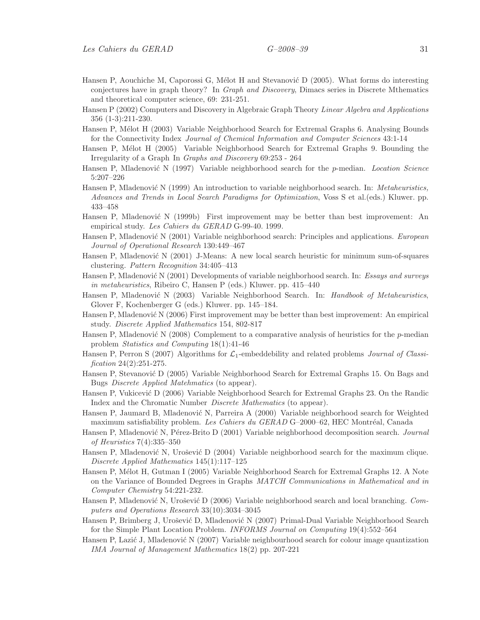- Hansen P, Aouchiche M, Caporossi G, Mélot H and Stevanovic D (2005). What forms do interesting conjectures have in graph theory? In Graph and Discovery, Dimacs series in Discrete Mthematics and theoretical computer science, 69: 231-251.
- <span id="page-36-20"></span>Hansen P (2002) Computers and Discovery in Algebraic Graph Theory Linear Algebra and Applications 356 (1-3):211-230.
- <span id="page-36-15"></span>Hansen P, Mélot H (2003) Variable Neighborhood Search for Extremal Graphs 6. Analysing Bounds for the Connectivity Index Journal of Chemical Information and Computer Sciences 43:1-14
- <span id="page-36-16"></span>Hansen P, Mélot H (2005) Variable Neighborhood Search for Extremal Graphs 9. Bounding the Irregularity of a Graph In Graphs and Discovery 69:253 - 264
- <span id="page-36-8"></span>Hansen P, Mladenović N (1997) Variable neighborhood search for the  $p$ -median. Location Science 5:207–226
- <span id="page-36-0"></span>Hansen P, Mladenović N (1999) An introduction to variable neighborhood search. In: Metaheuristics, Advances and Trends in Local Search Paradigms for Optimization, Voss S et al.(eds.) Kluwer. pp. 433–458
- <span id="page-36-13"></span>Hansen P, Mladenović N (1999b) First improvement may be better than best improvement: An empirical study. Les Cahiers du GERAD G-99-40. 1999.
- <span id="page-36-1"></span>Hansen P, Mladenović N (2001) Variable neighborhood search: Principles and applications. European Journal of Operational Research 130:449–467
- <span id="page-36-3"></span>Hansen P, Mladenović N (2001) J-Means: A new local search heuristic for minimum sum-of-squares clustering. Pattern Recognition 34:405–413
- Hansen P, Mladenović N (2001) Developments of variable neighborhood search. In: Essays and surveys in metaheuristics, Ribeiro C, Hansen P (eds.) Kluwer. pp. 415–440
- <span id="page-36-2"></span>Hansen P, Mladenović N (2003) Variable Neighborhood Search. In: Handbook of Metaheuristics, Glover F, Kochenberger G (eds.) Kluwer. pp. 145–184.
- <span id="page-36-14"></span>Hansen P, Mladenović N (2006) First improvement may be better than best improvement: An empirical study. Discrete Applied Mathematics 154, 802-817
- <span id="page-36-9"></span>Hansen P, Mladenović N (2008) Complement to a comparative analysis of heuristics for the p-median problem Statistics and Computing 18(1):41-46
- <span id="page-36-10"></span>Hansen P, Perron S (2007) Algorithms for  $\mathcal{L}_1$ -embeddebility and related problems *Journal of Classi*fication  $24(2):251-275$ .
- <span id="page-36-18"></span>Hansen P, Stevanović D (2005) Variable Neighborhood Search for Extremal Graphs 15. On Bags and Bugs Discrete Applied Matehmatics (to appear).
- <span id="page-36-19"></span>Hansen P, Vukicević D (2006) Variable Neighborhood Search for Extremal Graphs 23. On the Randic Index and the Chromatic Number Discrete Mathematics (to appear).
- <span id="page-36-6"></span>Hansen P, Jaumard B, Mladenović N, Parreira A (2000) Variable neighborhood search for Weighted maximum satisfiability problem. Les Cahiers du GERAD G-2000-62, HEC Montréal, Canada
- <span id="page-36-4"></span>Hansen P, Mladenović N, Pérez-Brito D (2001) Variable neighborhood decomposition search. Journal of Heuristics 7(4):335–350
- <span id="page-36-12"></span>Hansen P, Mladenović N, Urošević D (2004) Variable neighborhood search for the maximum clique. Discrete Applied Mathematics 145(1):117–125
- <span id="page-36-17"></span>Hansen P, Mélot H, Gutman I (2005) Variable Neighborhood Search for Extremal Graphs 12. A Note on the Variance of Bounded Degrees in Graphs MATCH Communications in Mathematical and in Computer Chemistry 54:221-232.
- <span id="page-36-5"></span>Hansen P, Mladenović N, Urošević D (2006) Variable neighborhood search and local branching. Computers and Operations Research 33(10):3034–3045
- <span id="page-36-7"></span>Hansen P, Brimberg J, Urošević D, Mladenović N (2007) Primal-Dual Variable Neighborhood Search for the Simple Plant Location Problem. INFORMS Journal on Computing 19(4):552–564
- <span id="page-36-11"></span>Hansen P, Lazić J, Mladenović N (2007) Variable neighbourhood search for colour image quantization IMA Journal of Management Mathematics 18(2) pp. 207-221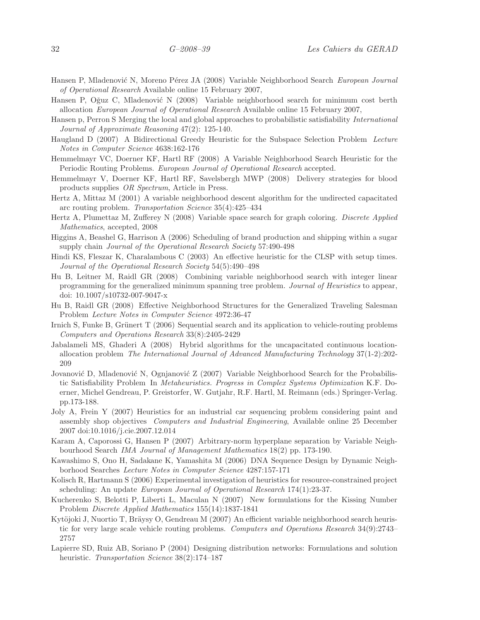- Hansen P, Mladenović N, Moreno Pérez JA (2008) Variable Neighborhood Search European Journal of Operational Research Available online 15 February 2007,
- <span id="page-37-16"></span>Hansen P, Oğuz C, Mladenović N (2008) Variable neighborhood search for minimum cost berth allocation European Journal of Operational Research Available online 15 February 2007,
- <span id="page-37-20"></span>Hansen p, Perron S Merging the local and global approaches to probabilistic satisfiability International Journal of Approximate Reasoning 47(2): 125-140.
- <span id="page-37-17"></span>Haugland D (2007) A Bidirectional Greedy Heuristic for the Subspace Selection Problem Lecture Notes in Computer Science 4638:162-176
- <span id="page-37-13"></span>Hemmelmayr VC, Doerner KF, Hartl RF (2008) A Variable Neighborhood Search Heuristic for the Periodic Routing Problems. European Journal of Operational Research accepted.
- <span id="page-37-18"></span>Hemmelmayr V, Doerner KF, Hartl RF, Savelsbergh MWP (2008) Delivery strategies for blood products supplies OR Spectrum, Article in Press.
- <span id="page-37-12"></span>Hertz A, Mittaz M (2001) A variable neighborhood descent algorithm for the undirected capacitated arc routing problem. Transportation Science 35(4):425–434
- <span id="page-37-0"></span>Hertz A, Plumettaz M, Zufferey N (2008) Variable space search for graph coloring. Discrete Applied Mathematics, accepted, 2008
- <span id="page-37-8"></span>Higgins A, Beashel G, Harrison A (2006) Scheduling of brand production and shipping within a sugar supply chain Journal of the Operational Research Society 57:490-498
- <span id="page-37-15"></span>Hindi KS, Fleszar K, Charalambous C (2003) An effective heuristic for the CLSP with setup times. Journal of the Operational Research Society 54(5):490–498
- <span id="page-37-4"></span>Hu B, Leitner M, Raidl GR (2008) Combining variable neighborhood search with integer linear programming for the generalized minimum spanning tree problem. Journal of Heuristics to appear, doi: 10.1007/s10732-007-9047-x
- <span id="page-37-9"></span>Hu B, Raidl GR (2008) Effective Neighborhood Structures for the Generalized Traveling Salesman Problem Lecture Notes in Computer Science 4972:36-47
- <span id="page-37-10"></span>Irnich S, Funke B, Grünert T (2006) Sequential search and its application to vehicle-routing problems Computers and Operations Research 33(8):2405-2429
- <span id="page-37-2"></span>Jabalameli MS, Ghaderi A (2008) Hybrid algorithms for the uncapacitated continuous locationallocation problem The International Journal of Advanced Manufacturing Technology 37(1-2):202- 209
- <span id="page-37-19"></span>Jovanović D, Mladenović N, Ognjanović Z (2007) Variable Neighborhood Search for the Probabilistic Satisfiability Problem In Metaheuristics. Progress in Complex Systems Optimization K.F. Doerner, Michel Gendreau, P. Greistorfer, W. Gutjahr, R.F. Hartl, M. Reimann (eds.) Springer-Verlag. pp.173-188.
- <span id="page-37-7"></span>Joly A, Frein Y (2007) Heuristics for an industrial car sequencing problem considering paint and assembly shop objectives Computers and Industrial Engineering, Available online 25 December 2007 doi:10.1016/j.cie.2007.12.014
- <span id="page-37-3"></span>Karam A, Caporossi G, Hansen P (2007) Arbitrary-norm hyperplane separation by Variable Neighbourhood Search IMA Journal of Management Mathematics 18(2) pp. 173-190.
- <span id="page-37-14"></span>Kawashimo S, Ono H, Sadakane K, Yamashita M (2006) DNA Sequence Design by Dynamic Neighborhood Searches Lecture Notes in Computer Science 4287:157-171
- <span id="page-37-6"></span>Kolisch R, Hartmann S (2006) Experimental investigation of heuristics for resource-constrained project scheduling: An update European Journal of Operational Research 174(1):23-37.
- <span id="page-37-5"></span>Kucherenko S, Belotti P, Liberti L, Maculan N (2007) New formulations for the Kissing Number Problem Discrete Applied Mathematics 155(14):1837-1841
- <span id="page-37-11"></span>Kytöjoki J, Nuortio T, Bräysy O, Gendreau M (2007) An efficient variable neighborhood search heuristic for very large scale vehicle routing problems. Computers and Operations Research 34(9):2743– 2757
- <span id="page-37-1"></span>Lapierre SD, Ruiz AB, Soriano P (2004) Designing distribution networks: Formulations and solution heuristic. Transportation Science 38(2):174–187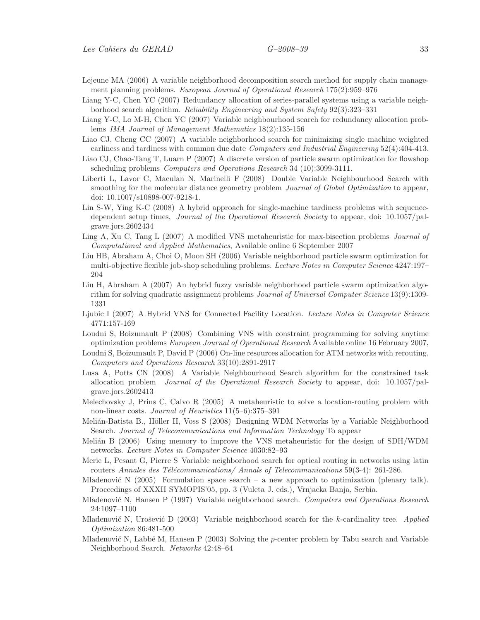- <span id="page-38-14"></span>Lejeune MA (2006) A variable neighborhood decomposition search method for supply chain management planning problems. European Journal of Operational Research 175(2):959–976
- <span id="page-38-15"></span>Liang Y-C, Chen YC (2007) Redundancy allocation of series-parallel systems using a variable neighborhood search algorithm. Reliability Engineering and System Safety 92(3):323–331
- <span id="page-38-17"></span>Liang Y-C, Lo M-H, Chen YC (2007) Variable neighbourhood search for redundancy allocation problems IMA Journal of Management Mathematics 18(2):135-156
- <span id="page-38-11"></span>Liao CJ, Cheng CC (2007) A variable neighborhood search for minimizing single machine weighted earliness and tardiness with common due date Computers and Industrial Engineering 52(4):404-413.
- <span id="page-38-13"></span>Liao CJ, Chao-Tang T, Luarn P (2007) A discrete version of particle swarm optimization for flowshop scheduling problems *Computers and Operations Research* 34 (10):3099-3111.
- <span id="page-38-19"></span>Liberti L, Lavor C, Maculan N, Marinelli F (2008) Double Variable Neighbourhood Search with smoothing for the molecular distance geometry problem *Journal of Global Optimization* to appear. doi: 10.1007/s10898-007-9218-1.
- <span id="page-38-10"></span>Lin S-W, Ying K-C (2008) A hybrid approach for single-machine tardiness problems with sequencedependent setup times, *Journal of the Operational Research Society* to appear, doi: 10.1057/palgrave.jors.2602434
- <span id="page-38-20"></span>Ling A, Xu C, Tang L (2007) A modified VNS metaheuristic for max-bisection problems *Journal of* Computational and Applied Mathematics, Available online 6 September 2007
- <span id="page-38-12"></span>Liu HB, Abraham A, Choi O, Moon SH (2006) Variable neighborhood particle swarm optimization for multi-objective flexible job-shop scheduling problems. Lecture Notes in Computer Science 4247:197– 204
- <span id="page-38-8"></span>Liu H, Abraham A (2007) An hybrid fuzzy variable neighborhood particle swarm optimization algorithm for solving quadratic assignment problems Journal of Universal Computer Science 13(9):1309- 1331
- <span id="page-38-7"></span>Ljubic I (2007) A Hybrid VNS for Connected Facility Location. Lecture Notes in Computer Science 4771:157-169
- <span id="page-38-21"></span>Loudni S, Boizumault P (2008) Combining VNS with constraint programming for solving anytime optimization problems European Journal of Operational Research Available online 16 February 2007,
- <span id="page-38-2"></span>Loudni S, Boizumault P, David P (2006) On-line resources allocation for ATM networks with rerouting. Computers and Operations Research 33(10):2891-2917
- <span id="page-38-16"></span>Lusa A, Potts CN (2008) A Variable Neighbourhood Search algorithm for the constrained task allocation problem Journal of the Operational Research Society to appear, doi: 10.1057/palgrave.jors.2602413
- <span id="page-38-18"></span>Melechovsky J, Prins C, Calvo R (2005) A metaheuristic to solve a location-routing problem with non-linear costs. Journal of Heuristics 11(5–6):375–391
- <span id="page-38-4"></span>Melián-Batista B., Höller H, Voss S (2008) Designing WDM Networks by a Variable Neighborhood Search. Journal of Telecommunications and Information Technology To appear
- <span id="page-38-3"></span>Melián B (2006) Using memory to improve the VNS metaheuristic for the design of SDH/WDM networks. Lecture Notes in Computer Science 4030:82–93
- <span id="page-38-5"></span>Meric L, Pesant G, Pierre S Variable neighborhood search for optical routing in networks using latin routers Annales des Télécommunications/ Annals of Telecommunications 59(3-4): 261-286.
- <span id="page-38-1"></span>Mladenović N (2005) Formulation space search – a new approach to optimization (plenary talk). Proceedings of XXXII SYMOPIS'05, pp. 3 (Vuleta J. eds.), Vrnjacka Banja, Serbia.
- <span id="page-38-0"></span>Mladenović N, Hansen P (1997) Variable neighborhood search. Computers and Operations Research 24:1097–1100
- <span id="page-38-9"></span>Mladenović N, Urošević D (2003) Variable neighborhood search for the  $k$ -cardinality tree. Applied Optimization 86:481-500
- <span id="page-38-6"></span>Mladenović N, Labbé M, Hansen P (2003) Solving the p-center problem by Tabu search and Variable Neighborhood Search. Networks 42:48–64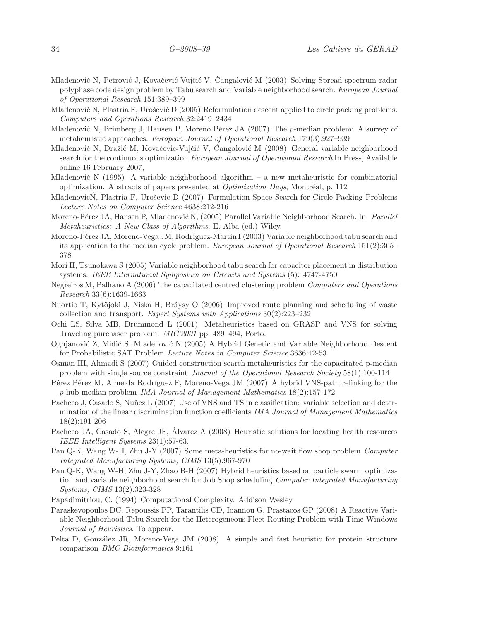- <span id="page-39-1"></span>Mladenović N, Petrović J, Kovačević-Vujčić V, Čangalović M (2003) Solving Spread spectrum radar polyphase code design problem by Tabu search and Variable neighborhood search. European Journal of Operational Research 151:389–399
- <span id="page-39-3"></span>Mladenović N, Plastria F, Urošević D (2005) Reformulation descent applied to circle packing problems. Computers and Operations Research 32:2419–2434
- <span id="page-39-4"></span>Mladenović N, Brimberg J, Hansen P, Moreno Pérez JA (2007) The p-median problem: A survey of metaheuristic approaches. European Journal of Operational Research 179(3):927–939
- <span id="page-39-17"></span>Mladenović N, Dražić M, Kovačevic-Vujčić V, Cangalović M (2008) General variable neighborhood search for the continuous optimization European Journal of Operational Research In Press, Available online 16 February 2007,
- Mladenović N (1995) A variable neighborhood algorithm a new metaheuristic for combinatorial optimization. Abstracts of papers presented at *Optimization Days*, Montréal, p. 112
- <span id="page-39-11"></span>MladenovicN, Plastria F, Uroševic D (2007) Formulation Space Search for Circle Packing Problems Lecture Notes on Computer Science 4638:212-216
- Moreno-Pérez JA, Hansen P, Mladenović N, (2005) Parallel Variable Neighborhood Search. In: *Parallel* Metaheuristics: A New Class of Algorithms, E. Alba (ed.) Wiley.
- <span id="page-39-7"></span>Moreno-Pérez JA, Moreno-Vega JM, Rodríguez-Martín I (2003) Variable neighborhood tabu search and its application to the median cycle problem. European Journal of Operational Research 151(2):365– 378
- <span id="page-39-18"></span>Mori H, Tsunokawa S (2005) Variable neighborhood tabu search for capacitor placement in distribution systems. IEEE International Symposium on Circuits and Systems (5): 4747-4750
- <span id="page-39-9"></span>Negreiros M, Palhano A (2006) The capacitated centred clustering problem Computers and Operations Research 33(6):1639-1663
- <span id="page-39-14"></span>Nuortio T, Kytöjoki J, Niska H, Bräysy O (2006) Improved route planning and scheduling of waste collection and transport. Expert Systems with Applications 30(2):223–232
- <span id="page-39-2"></span>Ochi LS, Silva MB, Drummond L (2001) Metaheuristics based on GRASP and VNS for solving Traveling purchaser problem. MIC'2001 pp. 489–494, Porto.
- <span id="page-39-19"></span>Ognjanović Z, Midić S, Mladenović N (2005) A Hybrid Genetic and Variable Neighborhood Descent for Probabilistic SAT Problem Lecture Notes in Computer Science 3636:42-53
- <span id="page-39-6"></span>Osman IH, Ahmadi S (2007) Guided construction search metaheuristics for the capacitated p-median problem with single source constraint Journal of the Operational Research Society 58(1):100-114
- <span id="page-39-5"></span>Pérez Pérez M, Almeida Rodríguez F, Moreno-Vega JM (2007) A hybrid VNS-path relinking for the p-hub median problem IMA Journal of Management Mathematics 18(2):157-172
- <span id="page-39-10"></span>Pacheco J, Casado S, Nuñez L (2007) Use of VNS and TS in classification: variable selection and determination of the linear discrimination function coefficients IMA Journal of Management Mathematics 18(2):191-206
- <span id="page-39-8"></span>Pacheco JA, Casado S, Alegre JF, Alvarez A (2008) Heuristic solutions for locating health resources IEEE Intelligent Systems 23(1):57-63.
- <span id="page-39-13"></span>Pan Q-K, Wang W-H, Zhu J-Y (2007) Some meta-heuristics for no-wait flow shop problem *Computer* Integrated Manufacturing Systems, CIMS 13(5):967-970
- <span id="page-39-12"></span>Pan Q-K, Wang W-H, Zhu J-Y, Zhao B-H (2007) Hybrid heuristics based on particle swarm optimization and variable neighborhood search for Job Shop scheduling Computer Integrated Manufacturing Systems, CIMS 13(2):323-328
- <span id="page-39-0"></span>Papadimitriou, C. (1994) Computational Complexity. Addison Wesley
- <span id="page-39-15"></span>Paraskevopoulos DC, Repoussis PP, Tarantilis CD, Ioannou G, Prastacos GP (2008) A Reactive Variable Neighborhood Tabu Search for the Heterogeneous Fleet Routing Problem with Time Windows Journal of Heuristics. To appear.
- <span id="page-39-16"></span>Pelta D, González JR, Moreno-Vega JM (2008) A simple and fast heuristic for protein structure comparison BMC Bioinformatics 9:161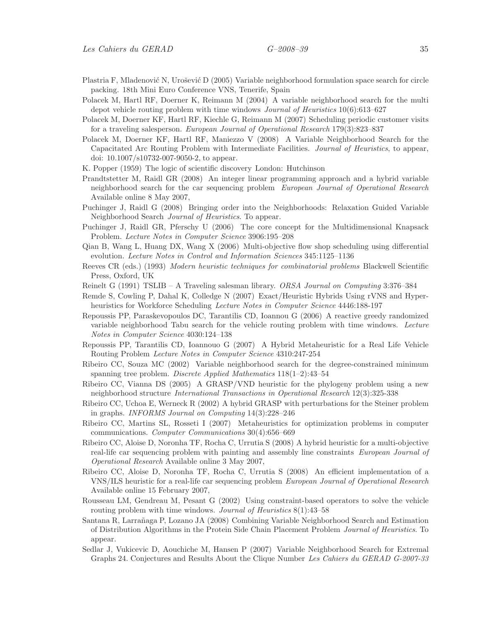- <span id="page-40-4"></span>Plastria F, Mladenović N, Urošević D (2005) Variable neighborhood formulation space search for circle packing. 18th Mini Euro Conference VNS, Tenerife, Spain
- <span id="page-40-14"></span>Polacek M, Hartl RF, Doerner K, Reimann M (2004) A variable neighborhood search for the multi depot vehicle routing problem with time windows Journal of Heuristics 10(6):613–627
- <span id="page-40-18"></span>Polacek M, Doerner KF, Hartl RF, Kiechle G, Reimann M (2007) Scheduling periodic customer visits for a traveling salesperson. European Journal of Operational Research 179(3):823–837
- <span id="page-40-17"></span>Polacek M, Doerner KF, Hartl RF, Maniezzo V (2008) A Variable Neighborhood Search for the Capacitated Arc Routing Problem with Intermediate Facilities. Journal of Heuristics, to appear, doi: 10.1007/s10732-007-9050-2, to appear.
- <span id="page-40-22"></span>K. Popper (1959) The logic of scientific discovery London: Hutchinson
- <span id="page-40-9"></span>Prandtstetter M, Raidl GR (2008) An integer linear programming approach and a hybrid variable neighborhood search for the car sequencing problem European Journal of Operational Research Available online 8 May 2007,
- <span id="page-40-7"></span>Puchinger J, Raidl G (2008) Bringing order into the Neighborhoods: Relaxation Guided Variable Neighborhood Search Journal of Heuristics. To appear.
- <span id="page-40-6"></span>Puchinger J, Raidl GR, Pferschy U (2006) The core concept for the Multidimensional Knapsack Problem. Lecture Notes in Computer Science 3906:195–208
- <span id="page-40-8"></span>Qian B, Wang L, Huang DX, Wang X (2006) Multi-objective flow shop scheduling using differential evolution. Lecture Notes in Control and Information Sciences 345:1125–1136
- <span id="page-40-0"></span>Reeves CR (eds.) (1993) Modern heuristic techniques for combinatorial problems Blackwell Scientific Press, Oxford, UK
- <span id="page-40-3"></span>Reinelt G (1991) TSLIB – A Traveling salesman library. ORSA Journal on Computing 3:376–384
- <span id="page-40-12"></span>Remde S, Cowling P, Dahal K, Colledge N (2007) Exact/Heuristic Hybrids Using rVNS and Hyperheuristics for Workforce Scheduling Lecture Notes in Computer Science 4446:188-197
- <span id="page-40-15"></span>Repoussis PP, Paraskevopoulos DC, Tarantilis CD, Ioannou G (2006) A reactive greedy randomized variable neighborhood Tabu search for the vehicle routing problem with time windows. Lecture Notes in Computer Science 4030:124–138
- <span id="page-40-16"></span>Repoussis PP, Tarantilis CD, Ioannouo G (2007) A Hybrid Metaheuristic for a Real Life Vehicle Routing Problem Lecture Notes in Computer Science 4310:247-254
- <span id="page-40-1"></span>Ribeiro CC, Souza MC (2002) Variable neighborhood search for the degree-constrained minimum spanning tree problem. Discrete Applied Mathematics 118(1–2):43–54
- <span id="page-40-19"></span>Ribeiro CC, Vianna DS (2005) A GRASP/VND heuristic for the phylogeny problem using a new neighborhood structure International Transactions in Operational Research 12(3):325-338
- <span id="page-40-2"></span>Ribeiro CC, Uchoa E, Werneck R (2002) A hybrid GRASP with perturbations for the Steiner problem in graphs. INFORMS Journal on Computing 14(3):228–246
- <span id="page-40-5"></span>Ribeiro CC, Martins SL, Rosseti I (2007) Metaheuristics for optimization problems in computer communications. Computer Communications 30(4):656–669
- <span id="page-40-10"></span>Ribeiro CC, Aloise D, Noronha TF, Rocha C, Urrutia S (2008) A hybrid heuristic for a multi-objective real-life car sequencing problem with painting and assembly line constraints European Journal of Operational Research Available online 3 May 2007,
- <span id="page-40-11"></span>Ribeiro CC, Aloise D, Noronha TF, Rocha C, Urrutia S (2008) An efficient implementation of a VNS/ILS heuristic for a real-life car sequencing problem European Journal of Operational Research Available online 15 February 2007,
- <span id="page-40-13"></span>Rousseau LM, Gendreau M, Pesant G (2002) Using constraint-based operators to solve the vehicle routing problem with time windows. *Journal of Heuristics*  $8(1):43-58$
- <span id="page-40-20"></span>Santana R, Larrañaga P, Lozano JA (2008) Combining Variable Neighborhood Search and Estimation of Distribution Algorithms in the Protein Side Chain Placement Problem Journal of Heuristics. To appear.
- <span id="page-40-21"></span>Sedlar J, Vukicevic D, Aouchiche M, Hansen P (2007) Variable Neighborhood Search for Extremal Graphs 24. Conjectures and Results About the Clique Number Les Cahiers du GERAD G-2007-33